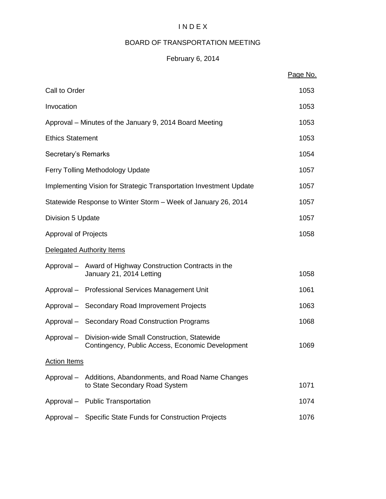## I N D E X

## BOARD OF TRANSPORTATION MEETING

## February 6, 2014

|                             |                                                                                             | Page No. |
|-----------------------------|---------------------------------------------------------------------------------------------|----------|
| Call to Order               |                                                                                             | 1053     |
| Invocation                  |                                                                                             | 1053     |
|                             | Approval – Minutes of the January 9, 2014 Board Meeting                                     | 1053     |
| <b>Ethics Statement</b>     |                                                                                             | 1053     |
| Secretary's Remarks         |                                                                                             | 1054     |
|                             | <b>Ferry Tolling Methodology Update</b>                                                     | 1057     |
|                             | Implementing Vision for Strategic Transportation Investment Update                          | 1057     |
|                             | Statewide Response to Winter Storm – Week of January 26, 2014                               | 1057     |
| Division 5 Update           |                                                                                             | 1057     |
| <b>Approval of Projects</b> |                                                                                             |          |
|                             | Delegated Authority Items                                                                   |          |
|                             | Approval - Award of Highway Construction Contracts in the<br>January 21, 2014 Letting       | 1058     |
|                             | Approval - Professional Services Management Unit                                            | 1061     |
|                             | Approval - Secondary Road Improvement Projects                                              | 1063     |
|                             | Approval - Secondary Road Construction Programs                                             | 1068     |
| Approval-                   | 1069                                                                                        |          |
| <b>Action Items</b>         |                                                                                             |          |
|                             | Approval – Additions, Abandonments, and Road Name Changes<br>to State Secondary Road System | 1071     |
|                             | Approval - Public Transportation                                                            | 1074     |
|                             | Approval - Specific State Funds for Construction Projects                                   | 1076     |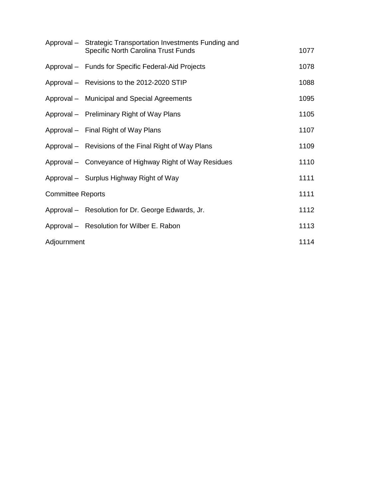|                          | Approval – Strategic Transportation Investments Funding and<br><b>Specific North Carolina Trust Funds</b> | 1077 |
|--------------------------|-----------------------------------------------------------------------------------------------------------|------|
|                          | Approval - Funds for Specific Federal-Aid Projects                                                        | 1078 |
|                          | Approval - Revisions to the 2012-2020 STIP                                                                | 1088 |
|                          | Approval - Municipal and Special Agreements                                                               | 1095 |
|                          | Approval – Preliminary Right of Way Plans                                                                 | 1105 |
|                          | Approval - Final Right of Way Plans                                                                       | 1107 |
|                          | Approval – Revisions of the Final Right of Way Plans                                                      | 1109 |
|                          | Approval - Conveyance of Highway Right of Way Residues                                                    | 1110 |
|                          | Approval – Surplus Highway Right of Way                                                                   | 1111 |
| <b>Committee Reports</b> |                                                                                                           |      |
|                          | Approval - Resolution for Dr. George Edwards, Jr.                                                         | 1112 |
|                          | Approval - Resolution for Wilber E. Rabon                                                                 | 1113 |
| Adjournment              |                                                                                                           |      |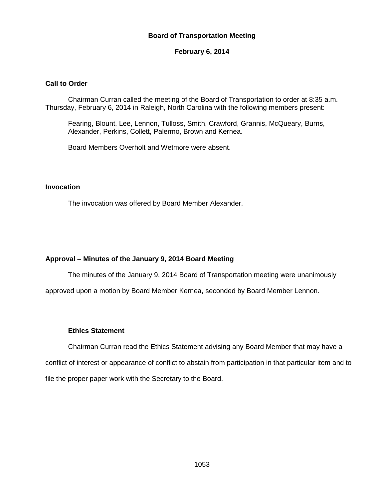#### **Board of Transportation Meeting**

#### **February 6, 2014**

#### **Call to Order**

Chairman Curran called the meeting of the Board of Transportation to order at 8:35 a.m. Thursday, February 6, 2014 in Raleigh, North Carolina with the following members present:

Fearing, Blount, Lee, Lennon, Tulloss, Smith, Crawford, Grannis, McQueary, Burns, Alexander, Perkins, Collett, Palermo, Brown and Kernea.

Board Members Overholt and Wetmore were absent.

#### **Invocation**

The invocation was offered by Board Member Alexander.

#### **Approval – Minutes of the January 9, 2014 Board Meeting**

The minutes of the January 9, 2014 Board of Transportation meeting were unanimously

approved upon a motion by Board Member Kernea, seconded by Board Member Lennon.

#### **Ethics Statement**

Chairman Curran read the Ethics Statement advising any Board Member that may have a conflict of interest or appearance of conflict to abstain from participation in that particular item and to file the proper paper work with the Secretary to the Board.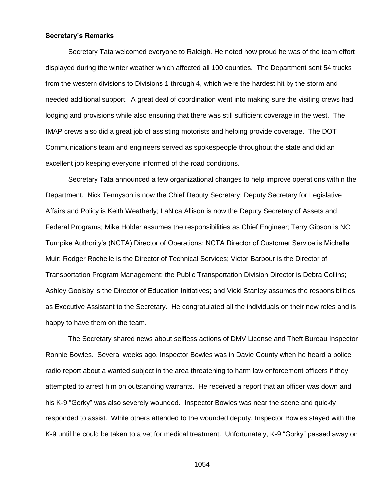#### **Secretary's Remarks**

Secretary Tata welcomed everyone to Raleigh. He noted how proud he was of the team effort displayed during the winter weather which affected all 100 counties. The Department sent 54 trucks from the western divisions to Divisions 1 through 4, which were the hardest hit by the storm and needed additional support. A great deal of coordination went into making sure the visiting crews had lodging and provisions while also ensuring that there was still sufficient coverage in the west. The IMAP crews also did a great job of assisting motorists and helping provide coverage. The DOT Communications team and engineers served as spokespeople throughout the state and did an excellent job keeping everyone informed of the road conditions.

Secretary Tata announced a few organizational changes to help improve operations within the Department. Nick Tennyson is now the Chief Deputy Secretary; Deputy Secretary for Legislative Affairs and Policy is Keith Weatherly; LaNica Allison is now the Deputy Secretary of Assets and Federal Programs; Mike Holder assumes the responsibilities as Chief Engineer; Terry Gibson is NC Turnpike Authority's (NCTA) Director of Operations; NCTA Director of Customer Service is Michelle Muir; Rodger Rochelle is the Director of Technical Services; Victor Barbour is the Director of Transportation Program Management; the Public Transportation Division Director is Debra Collins; Ashley Goolsby is the Director of Education Initiatives; and Vicki Stanley assumes the responsibilities as Executive Assistant to the Secretary. He congratulated all the individuals on their new roles and is happy to have them on the team.

The Secretary shared news about selfless actions of DMV License and Theft Bureau Inspector Ronnie Bowles. Several weeks ago, Inspector Bowles was in Davie County when he heard a police radio report about a wanted subject in the area threatening to harm law enforcement officers if they attempted to arrest him on outstanding warrants. He received a report that an officer was down and his K-9 "Gorky" was also severely wounded. Inspector Bowles was near the scene and quickly responded to assist. While others attended to the wounded deputy, Inspector Bowles stayed with the K-9 until he could be taken to a vet for medical treatment. Unfortunately, K-9 "Gorky" passed away on

1054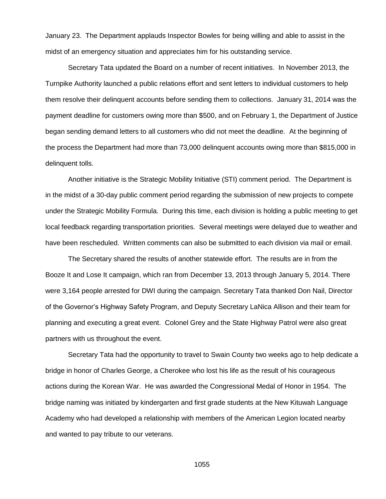January 23. The Department applauds Inspector Bowles for being willing and able to assist in the midst of an emergency situation and appreciates him for his outstanding service.

Secretary Tata updated the Board on a number of recent initiatives. In November 2013, the Turnpike Authority launched a public relations effort and sent letters to individual customers to help them resolve their delinquent accounts before sending them to collections. January 31, 2014 was the payment deadline for customers owing more than \$500, and on February 1, the Department of Justice began sending demand letters to all customers who did not meet the deadline. At the beginning of the process the Department had more than 73,000 delinquent accounts owing more than \$815,000 in delinquent tolls.

Another initiative is the Strategic Mobility Initiative (STI) comment period. The Department is in the midst of a 30-day public comment period regarding the submission of new projects to compete under the Strategic Mobility Formula. During this time, each division is holding a public meeting to get local feedback regarding transportation priorities. Several meetings were delayed due to weather and have been rescheduled. Written comments can also be submitted to each division via mail or email.

The Secretary shared the results of another statewide effort. The results are in from the Booze It and Lose It campaign, which ran from December 13, 2013 through January 5, 2014. There were 3,164 people arrested for DWI during the campaign. Secretary Tata thanked Don Nail, Director of the Governor's Highway Safety Program, and Deputy Secretary LaNica Allison and their team for planning and executing a great event. Colonel Grey and the State Highway Patrol were also great partners with us throughout the event.

Secretary Tata had the opportunity to travel to Swain County two weeks ago to help dedicate a bridge in honor of Charles George, a Cherokee who lost his life as the result of his courageous actions during the Korean War. He was awarded the Congressional Medal of Honor in 1954. The bridge naming was initiated by kindergarten and first grade students at the New Kituwah Language Academy who had developed a relationship with members of the American Legion located nearby and wanted to pay tribute to our veterans.

1055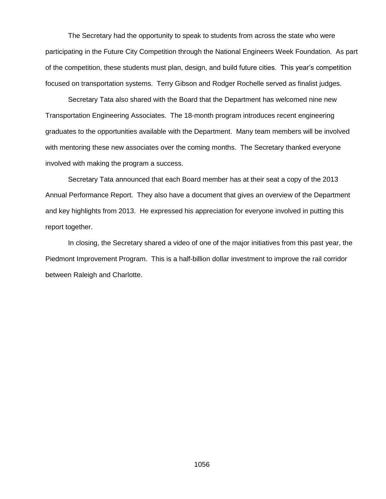The Secretary had the opportunity to speak to students from across the state who were participating in the Future City Competition through the National Engineers Week Foundation. As part of the competition, these students must plan, design, and build future cities. This year's competition focused on transportation systems. Terry Gibson and Rodger Rochelle served as finalist judges.

Secretary Tata also shared with the Board that the Department has welcomed nine new Transportation Engineering Associates. The 18-month program introduces recent engineering graduates to the opportunities available with the Department. Many team members will be involved with mentoring these new associates over the coming months. The Secretary thanked everyone involved with making the program a success.

Secretary Tata announced that each Board member has at their seat a copy of the 2013 Annual Performance Report. They also have a document that gives an overview of the Department and key highlights from 2013. He expressed his appreciation for everyone involved in putting this report together.

In closing, the Secretary shared a video of one of the major initiatives from this past year, the Piedmont Improvement Program. This is a half-billion dollar investment to improve the rail corridor between Raleigh and Charlotte.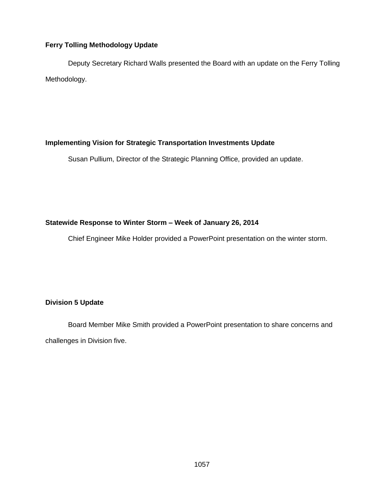### **Ferry Tolling Methodology Update**

Deputy Secretary Richard Walls presented the Board with an update on the Ferry Tolling Methodology.

## **Implementing Vision for Strategic Transportation Investments Update**

Susan Pullium, Director of the Strategic Planning Office, provided an update.

## **Statewide Response to Winter Storm – Week of January 26, 2014**

Chief Engineer Mike Holder provided a PowerPoint presentation on the winter storm.

## **Division 5 Update**

Board Member Mike Smith provided a PowerPoint presentation to share concerns and challenges in Division five.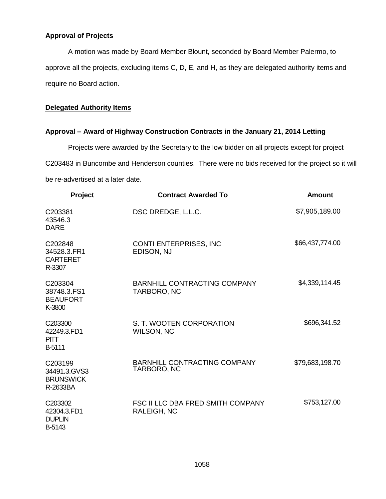### **Approval of Projects**

A motion was made by Board Member Blount, seconded by Board Member Palermo, to approve all the projects, excluding items C, D, E, and H, as they are delegated authority items and require no Board action.

#### **Delegated Authority Items**

#### **Approval – Award of Highway Construction Contracts in the January 21, 2014 Letting**

Projects were awarded by the Secretary to the low bidder on all projects except for project C203483 in Buncombe and Henderson counties. There were no bids received for the project so it will be re-advertised at a later date.

| Project                                                 | <b>Contract Awarded To</b>                         | <b>Amount</b>   |
|---------------------------------------------------------|----------------------------------------------------|-----------------|
| C203381<br>43546.3<br><b>DARE</b>                       | DSC DREDGE, L.L.C.                                 | \$7,905,189.00  |
| C202848<br>34528.3.FR1<br><b>CARTERET</b><br>R-3307     | CONTI ENTERPRISES, INC<br>EDISON, NJ               | \$66,437,774.00 |
| C203304<br>38748.3.FS1<br><b>BEAUFORT</b><br>K-3800     | <b>BARNHILL CONTRACTING COMPANY</b><br>TARBORO, NC | \$4,339,114.45  |
| C203300<br>42249.3.FD1<br><b>PITT</b><br><b>B-5111</b>  | S. T. WOOTEN CORPORATION<br><b>WILSON, NC</b>      | \$696,341.52    |
| C203199<br>34491.3.GVS3<br><b>BRUNSWICK</b><br>R-2633BA | <b>BARNHILL CONTRACTING COMPANY</b><br>TARBORO, NC | \$79,683,198.70 |
| C203302<br>42304.3.FD1<br><b>DUPLIN</b><br>B-5143       | FSC II LLC DBA FRED SMITH COMPANY<br>RALEIGH, NC   | \$753,127.00    |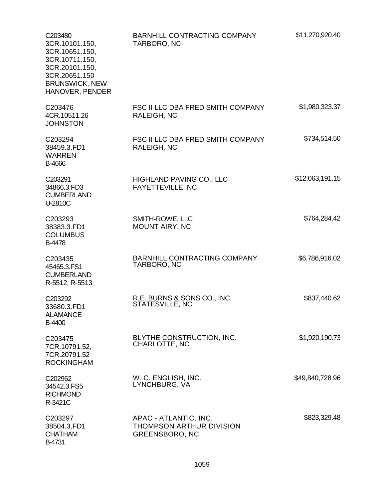| C <sub>203480</sub><br>3CR.10101.150,<br>3CR.10651.150,<br>3CR.10711.150,<br>3CR.20101.150,<br>3CR.20651.150<br><b>BRUNSWICK, NEW</b><br>HANOVER, PENDER | BARNHILL CONTRACTING COMPANY<br>TARBORO, NC                                | \$11,270,920.40 |
|----------------------------------------------------------------------------------------------------------------------------------------------------------|----------------------------------------------------------------------------|-----------------|
| C203476<br>4CR.10511.26<br><b>JOHNSTON</b>                                                                                                               | FSC II LLC DBA FRED SMITH COMPANY<br><b>RALEIGH, NC</b>                    | \$1,980,323.37  |
| C203294<br>38459.3.FD1<br><b>WARREN</b><br>B-4666                                                                                                        | FSC II LLC DBA FRED SMITH COMPANY<br><b>RALEIGH, NC</b>                    | \$734,514.50    |
| C203291<br>34866.3.FD3<br><b>CUMBERLAND</b><br>U-2810C                                                                                                   | HIGHLAND PAVING CO., LLC<br><b>FAYETTEVILLE, NC</b>                        | \$12,063,191.15 |
| C203293<br>38383.3.FD1<br><b>COLUMBUS</b><br>B-4478                                                                                                      | SMITH-ROWE, LLC<br>MOUNT AIRY, NC                                          | \$764,284.42    |
| C203435<br>45465.3.FS1<br><b>CUMBERLAND</b><br>R-5512, R-5513                                                                                            | BARNHILL CONTRACTING COMPANY<br>TARBORO, NC                                | \$6,786,916.02  |
| C203292<br>33680.3.FD1<br><b>ALAMANCE</b><br><b>B-4400</b>                                                                                               | R.E. BURNS & SONS CO., INC.<br>STATESVILLE, NC                             | \$837,440.62    |
| C203475<br>7CR.10791.52,<br>7CR.20791.52<br><b>ROCKINGHAM</b>                                                                                            | BLYTHE CONSTRUCTION, INC.<br>CHARLOTTE, NC                                 | \$1,920,190.73  |
| C202962<br>34542.3.FS5<br><b>RICHMOND</b><br>R-3421C                                                                                                     | W. C. ENGLISH, INC.<br>LYNCHBURG, VA                                       | \$49,840,728.96 |
| C203297<br>38504.3.FD1<br><b>CHATHAM</b><br>B-4731                                                                                                       | APAC - ATLANTIC, INC.<br>THOMPSON ARTHUR DIVISION<br><b>GREENSBORO, NC</b> | \$823,329.48    |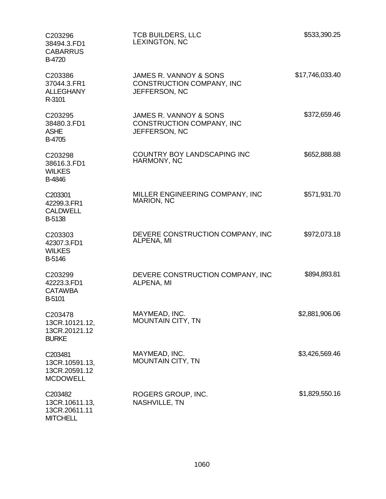| C203296<br>38494.3.FD1<br><b>CABARRUS</b><br><b>B-4720</b>    | <b>TCB BUILDERS, LLC</b><br>LEXINGTON, NC                                   | \$533,390.25    |
|---------------------------------------------------------------|-----------------------------------------------------------------------------|-----------------|
| C203386<br>37044.3.FR1<br><b>ALLEGHANY</b><br>R-3101          | JAMES R. VANNOY & SONS<br>CONSTRUCTION COMPANY, INC<br>JEFFERSON, NC        | \$17,746,033.40 |
| C203295<br>38480.3.FD1<br><b>ASHE</b><br>B-4705               | JAMES R. VANNOY & SONS<br><b>CONSTRUCTION COMPANY, INC</b><br>JEFFERSON, NC | \$372,659.46    |
| C203298<br>38616.3.FD1<br><b>WILKES</b><br>B-4846             | COUNTRY BOY LANDSCAPING INC<br>HARMONY, NC                                  | \$652,888.88    |
| C203301<br>42299.3.FR1<br><b>CALDWELL</b><br>B-5138           | MILLER ENGINEERING COMPANY, INC<br><b>MARION, NC</b>                        | \$571,931.70    |
| C203303<br>42307.3.FD1<br><b>WILKES</b><br>B-5146             | DEVERE CONSTRUCTION COMPANY, INC<br>ALPENA, MI                              | \$972,073.18    |
| C203299<br>42223.3.FD1<br><b>CATAWBA</b><br>B-5101            | DEVERE CONSTRUCTION COMPANY, INC<br>ALPENA, MI                              | \$894,893.81    |
| C203478<br>13CR.10121.12,<br>13CR.20121.12<br><b>BURKE</b>    | MAYMEAD, INC.<br><b>MOUNTAIN CITY, TN</b>                                   | \$2,881,906.06  |
| C203481<br>13CR.10591.13,<br>13CR.20591.12<br><b>MCDOWELL</b> | MAYMEAD, INC.<br><b>MOUNTAIN CITY, TN</b>                                   | \$3,426,569.46  |
| C203482<br>13CR.10611.13,<br>13CR.20611.11                    | ROGERS GROUP, INC.<br>NASHVILLE, TN                                         | \$1,829,550.16  |

**MITCHELL**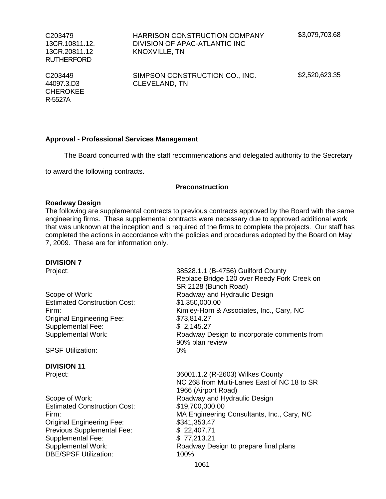C203479 13CR.10811.12, 13CR.20811.12 RUTHERFORD

HARRISON CONSTRUCTION COMPANY DIVISION OF APAC-ATLANTIC INC KNOXVILLE, TN

C203449 44097.3.D3 **CHEROKEE** R-5527A

SIMPSON CONSTRUCTION CO., INC. CLEVELAND, TN

\$2,520,623.35

#### **Approval - Professional Services Management**

The Board concurred with the staff recommendations and delegated authority to the Secretary

to award the following contracts.

#### **Preconstruction**

#### **Roadway Design**

The following are supplemental contracts to previous contracts approved by the Board with the same engineering firms. These supplemental contracts were necessary due to approved additional work that was unknown at the inception and is required of the firms to complete the projects. Our staff has completed the actions in accordance with the policies and procedures adopted by the Board on May 7, 2009. These are for information only.

#### **DIVISION 7**

Estimated Construction Cost: \$1,350,000.00 Original Engineering Fee: \$73,814.27 Supplemental Fee: \$ 2,145.27

SPSF Utilization: 0%

## **DIVISION 11**

Estimated Construction Cost: \$19,700,000.00 Original Engineering Fee: \$341,353.47 Previous Supplemental Fee: \$ 22,407.71 Supplemental Fee: \$77,213.21 DBE/SPSF Utilization: 100%

Project: 38528.1.1 (B-4756) Guilford County Replace Bridge 120 over Reedy Fork Creek on SR 2128 (Bunch Road) Scope of Work: Scope of Work: Roadway and Hydraulic Design Firm: Kimley-Horn & Associates, Inc., Cary, NC Supplemental Work: Roadway Design to incorporate comments from 90% plan review

Project: 36001.1.2 (R-2603) Wilkes County NC 268 from Multi-Lanes East of NC 18 to SR 1966 (Airport Road) Scope of Work: The Roadway and Hydraulic Design Firm: MA Engineering Consultants, Inc., Cary, NC Supplemental Work: Roadway Design to prepare final plans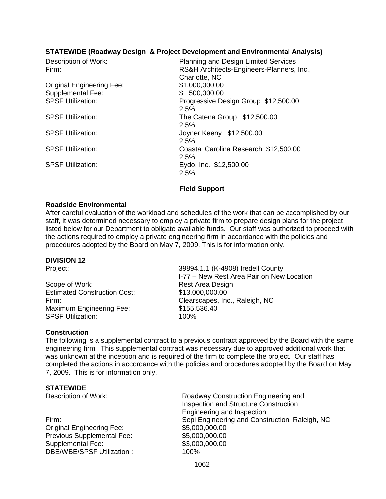### **STATEWIDE (Roadway Design & Project Development and Environmental Analysis)**

| Description of Work:<br>Firm:    | Planning and Design Limited Services<br>RS&H Architects-Engineers-Planners, Inc.,<br>Charlotte, NC |
|----------------------------------|----------------------------------------------------------------------------------------------------|
| <b>Original Engineering Fee:</b> | \$1,000,000.00                                                                                     |
| <b>Supplemental Fee:</b>         | \$500,000.00                                                                                       |
| <b>SPSF Utilization:</b>         | Progressive Design Group \$12,500.00<br>2.5%                                                       |
| <b>SPSF Utilization:</b>         | The Catena Group \$12,500.00<br>2.5%                                                               |
| <b>SPSF Utilization:</b>         | Joyner Keeny \$12,500.00<br>2.5%                                                                   |
| <b>SPSF Utilization:</b>         | Coastal Carolina Research \$12,500.00<br>2.5%                                                      |
| <b>SPSF Utilization:</b>         | Eydo, Inc. \$12,500.00<br>2.5%                                                                     |

#### **Field Support**

#### **Roadside Environmental**

After careful evaluation of the workload and schedules of the work that can be accomplished by our staff, it was determined necessary to employ a private firm to prepare design plans for the project listed below for our Department to obligate available funds. Our staff was authorized to proceed with the actions required to employ a private engineering firm in accordance with the policies and procedures adopted by the Board on May 7, 2009. This is for information only.

#### **DIVISION 12**

Scope of Work: Rest Area Design Estimated Construction Cost: \$13,000,000.00 Maximum Engineering Fee: \$155,536.40 SPSF Utilization: 100%

Project: 39894.1.1 (K-4908) Iredell County I-77 – New Rest Area Pair on New Location Firm: Clearscapes, Inc., Raleigh, NC

#### **Construction**

The following is a supplemental contract to a previous contract approved by the Board with the same engineering firm. This supplemental contract was necessary due to approved additional work that was unknown at the inception and is required of the firm to complete the project. Our staff has completed the actions in accordance with the policies and procedures adopted by the Board on May 7, 2009. This is for information only.

#### **STATEWIDE**

Original Engineering Fee: \$5,000,000.00 Previous Supplemental Fee: \$5,000,000.00 Supplemental Fee: \$3,000,000.000 DBE/WBE/SPSE Utilization : 100%

Description of Work: Roadway Construction Engineering and Inspection and Structure Construction Engineering and Inspection Firm: Sepi Engineering and Construction, Raleigh, NC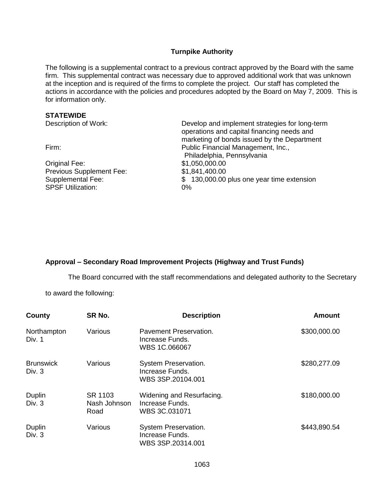#### **Turnpike Authority**

The following is a supplemental contract to a previous contract approved by the Board with the same firm. This supplemental contract was necessary due to approved additional work that was unknown at the inception and is required of the firms to complete the project. Our staff has completed the actions in accordance with the policies and procedures adopted by the Board on May 7, 2009. This is for information only.

#### **STATEWIDE**

| <b>JIAILWIDL</b>         |                                                                                                                                             |  |  |
|--------------------------|---------------------------------------------------------------------------------------------------------------------------------------------|--|--|
| Description of Work:     | Develop and implement strategies for long-term<br>operations and capital financing needs and<br>marketing of bonds issued by the Department |  |  |
| Firm:                    | Public Financial Management, Inc.,<br>Philadelphia, Pennsylvania                                                                            |  |  |
| Original Fee:            | \$1,050,000.00                                                                                                                              |  |  |
| Previous Supplement Fee: | \$1,841,400.00                                                                                                                              |  |  |
| <b>Supplemental Fee:</b> | \$130,000.00 plus one year time extension                                                                                                   |  |  |
| <b>SPSF Utilization:</b> | $0\%$                                                                                                                                       |  |  |
|                          |                                                                                                                                             |  |  |

## **Approval – Secondary Road Improvement Projects (Highway and Trust Funds)**

The Board concurred with the staff recommendations and delegated authority to the Secretary

to award the following:

| County                       | SR No.                          | <b>Description</b>                                            | <b>Amount</b> |
|------------------------------|---------------------------------|---------------------------------------------------------------|---------------|
| Northampton<br>Div. 1        | Various                         | Pavement Preservation.<br>Increase Funds.<br>WBS 1C.066067    | \$300,000.00  |
| <b>Brunswick</b><br>Div. $3$ | Various                         | System Preservation.<br>Increase Funds.<br>WBS 3SP.20104.001  | \$280,277.09  |
| Duplin<br>Div. 3             | SR 1103<br>Nash Johnson<br>Road | Widening and Resurfacing.<br>Increase Funds.<br>WBS 3C.031071 | \$180,000.00  |
| Duplin<br>Div. 3             | Various                         | System Preservation.<br>Increase Funds.<br>WBS 3SP.20314.001  | \$443,890.54  |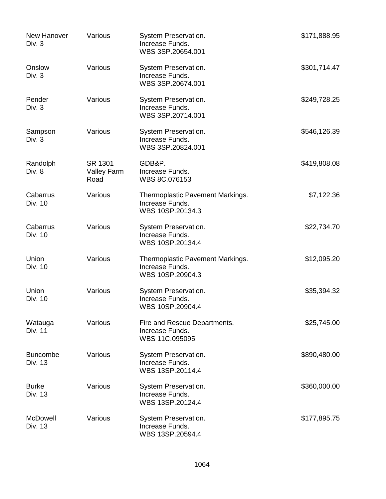| New Hanover<br>Div. 3      | Various                        | System Preservation.<br>Increase Funds.<br>WBS 3SP.20654.001            | \$171,888.95 |
|----------------------------|--------------------------------|-------------------------------------------------------------------------|--------------|
| Onslow<br>Div. 3           | Various                        | System Preservation.<br>Increase Funds.<br>WBS 3SP.20674.001            | \$301,714.47 |
| Pender<br>Div. 3           | Various                        | System Preservation.<br>Increase Funds.<br>WBS 3SP.20714.001            | \$249,728.25 |
| Sampson<br>Div. 3          | Various                        | System Preservation.<br>Increase Funds.<br>WBS 3SP.20824.001            | \$546,126.39 |
| Randolph<br>Div. 8         | SR 1301<br>Valley Farm<br>Road | GDB&P.<br>Increase Funds.<br>WBS 8C.076153                              | \$419,808.08 |
| Cabarrus<br>Div. 10        | Various                        | Thermoplastic Pavement Markings.<br>Increase Funds.<br>WBS 10SP.20134.3 | \$7,122.36   |
| Cabarrus<br>Div. 10        | Various                        | System Preservation.<br>Increase Funds.<br>WBS 10SP.20134.4             | \$22,734.70  |
| Union<br>Div. 10           | Various                        | Thermoplastic Pavement Markings.<br>Increase Funds.<br>WBS 10SP.20904.3 | \$12,095.20  |
| Union<br>Div. 10           | Various                        | System Preservation.<br>Increase Funds.<br>WBS 10SP.20904.4             | \$35,394.32  |
| Watauga<br>Div. 11         | Various                        | Fire and Rescue Departments.<br>Increase Funds.<br>WBS 11C.095095       | \$25,745.00  |
| <b>Buncombe</b><br>Div. 13 | Various                        | System Preservation.<br>Increase Funds.<br>WBS 13SP.20114.4             | \$890,480.00 |
| <b>Burke</b><br>Div. 13    | Various                        | System Preservation.<br>Increase Funds.<br>WBS 13SP.20124.4             | \$360,000.00 |
| <b>McDowell</b><br>Div. 13 | Various                        | System Preservation.<br>Increase Funds.<br>WBS 13SP.20594.4             | \$177,895.75 |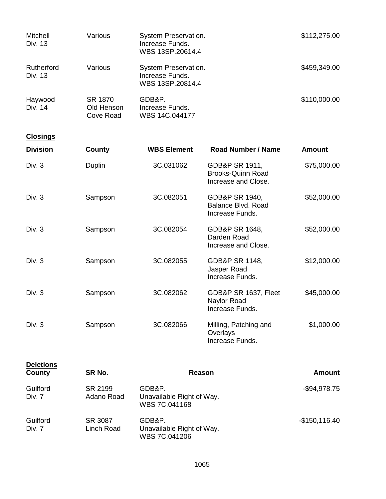| Mitchell<br>Div. 13   | Various                            | System Preservation.<br>Increase Funds.<br>WBS 13SP.20614.4 | \$112,275.00 |
|-----------------------|------------------------------------|-------------------------------------------------------------|--------------|
| Rutherford<br>Div. 13 | Various                            | System Preservation.<br>Increase Funds.<br>WBS 13SP.20814.4 | \$459,349.00 |
| Haywood<br>Div. 14    | SR 1870<br>Old Henson<br>Cove Road | GDB&P.<br>Increase Funds.<br>WBS 14C.044177                 | \$110,000.00 |

# **Closings**

| <b>Division</b> | County        | <b>WBS Element</b> | <b>Road Number / Name</b>                                         | <b>Amount</b> |
|-----------------|---------------|--------------------|-------------------------------------------------------------------|---------------|
| Div. $3$        | <b>Duplin</b> | 3C.031062          | GDB&P SR 1911,<br><b>Brooks-Quinn Road</b><br>Increase and Close. | \$75,000.00   |
| Div. $3$        | Sampson       | 3C.082051          | GDB&P SR 1940,<br>Balance Blvd. Road<br>Increase Funds.           | \$52,000.00   |
| Div. 3          | Sampson       | 3C.082054          | GDB&P SR 1648,<br>Darden Road<br>Increase and Close.              | \$52,000.00   |
| Div. 3          | Sampson       | 3C.082055          | <b>GDB&amp;P SR 1148,</b><br>Jasper Road<br>Increase Funds.       | \$12,000.00   |
| Div. 3          | Sampson       | 3C.082062          | GDB&P SR 1637, Fleet<br>Naylor Road<br>Increase Funds.            | \$45,000.00   |
| Div. 3          | Sampson       | 3C.082066          | Milling, Patching and<br>Overlays<br>Increase Funds.              | \$1,000.00    |

| <b>Deletions</b><br>County | SR No.                | Reason                                               | <b>Amount</b>  |
|----------------------------|-----------------------|------------------------------------------------------|----------------|
| Guilford<br>Div. 7         | SR 2199<br>Adano Road | GDB&P.<br>Unavailable Right of Way.<br>WBS 7C.041168 | $-$94,978.75$  |
| Guilford<br>Div. 7         | SR 3087<br>Linch Road | GDB&P.<br>Unavailable Right of Way.<br>WBS 7C.041206 | $-$150,116.40$ |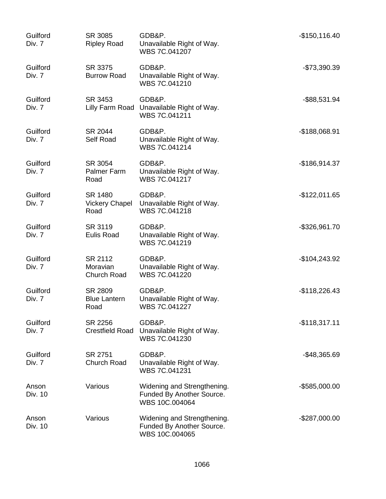| Guilford<br>Div. 7 | SR 3085<br><b>Ripley Road</b>            | GDB&P.<br>Unavailable Right of Way.<br>WBS 7C.041207                       | $-$150, 116.40$  |
|--------------------|------------------------------------------|----------------------------------------------------------------------------|------------------|
| Guilford<br>Div. 7 | SR 3375<br><b>Burrow Road</b>            | GDB&P.<br>Unavailable Right of Way.<br>WBS 7C.041210                       | -\$73,390.39     |
| Guilford<br>Div. 7 | SR 3453                                  | GDB&P.<br>Lilly Farm Road Unavailable Right of Way.<br>WBS 7C.041211       | -\$88,531.94     |
| Guilford<br>Div. 7 | SR 2044<br>Self Road                     | GDB&P.<br>Unavailable Right of Way.<br>WBS 7C.041214                       | $-$188,068.91$   |
| Guilford<br>Div. 7 | SR 3054<br>Palmer Farm<br>Road           | GDB&P.<br>Unavailable Right of Way.<br>WBS 7C.041217                       | $-$186,914.37$   |
| Guilford<br>Div. 7 | SR 1480<br><b>Vickery Chapel</b><br>Road | GDB&P.<br>Unavailable Right of Way.<br>WBS 7C.041218                       | $-$122,011.65$   |
| Guilford<br>Div. 7 | SR 3119<br><b>Eulis Road</b>             | GDB&P.<br>Unavailable Right of Way.<br>WBS 7C.041219                       | -\$326,961.70    |
| Guilford<br>Div. 7 | SR 2112<br>Moravian<br>Church Road       | GDB&P.<br>Unavailable Right of Way.<br>WBS 7C.041220                       | $-$104,243.92$   |
| Guilford<br>Div. 7 | SR 2809<br><b>Blue Lantern</b><br>Road   | GDB&P.<br>Unavailable Right of Way.<br>WBS 7C.041227                       | $-$118,226.43$   |
| Guilford<br>Div. 7 | SR 2256<br><b>Crestfield Road</b>        | GDB&P.<br>Unavailable Right of Way.<br>WBS 7C.041230                       | $-$118,317.11$   |
| Guilford<br>Div. 7 | SR 2751<br><b>Church Road</b>            | GDB&P.<br>Unavailable Right of Way.<br>WBS 7C.041231                       | $-$48,365.69$    |
| Anson<br>Div. 10   | Various                                  | Widening and Strengthening.<br>Funded By Another Source.<br>WBS 10C.004064 | $-$ \$585,000.00 |
| Anson<br>Div. 10   | Various                                  | Widening and Strengthening.<br>Funded By Another Source.<br>WBS 10C.004065 | $-$287,000.00$   |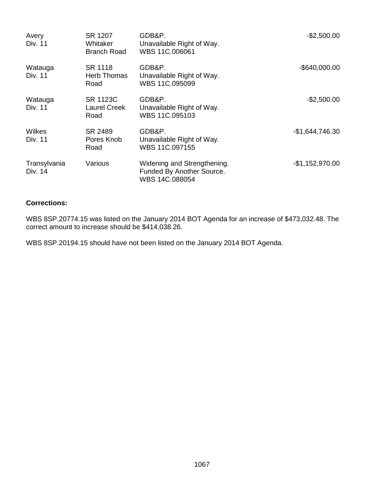| Avery<br>Div. 11        | SR 1207<br>Whitaker<br><b>Branch Road</b> | GDB&P.<br>Unavailable Right of Way.<br>WBS 11C.006061                      | $-$2,500.00$     |
|-------------------------|-------------------------------------------|----------------------------------------------------------------------------|------------------|
| Watauga<br>Div. 11      | SR 1118<br><b>Herb Thomas</b><br>Road     | GDB&P.<br>Unavailable Right of Way.<br>WBS 11C.095099                      | $-$ \$640,000.00 |
| Watauga<br>Div. 11      | <b>SR 1123C</b><br>Laurel Creek<br>Road   | GDB&P.<br>Unavailable Right of Way.<br>WBS 11C.095103                      | $-$2,500.00$     |
| Wilkes<br>Div. 11       | SR 2489<br>Pores Knob<br>Road             | GDB&P.<br>Unavailable Right of Way.<br>WBS 11C.097155                      | $-$1,644,746.30$ |
| Transylvania<br>Div. 14 | Various                                   | Widening and Strengthening.<br>Funded By Another Source.<br>WBS 14C.088054 | $-$1,152,970.00$ |

## **Corrections:**

WBS 8SP.20774.15 was listed on the January 2014 BOT Agenda for an increase of \$473,032.48. The correct amount to increase should be \$414,038.26.

WBS 8SP.20194.15 should have not been listed on the January 2014 BOT Agenda.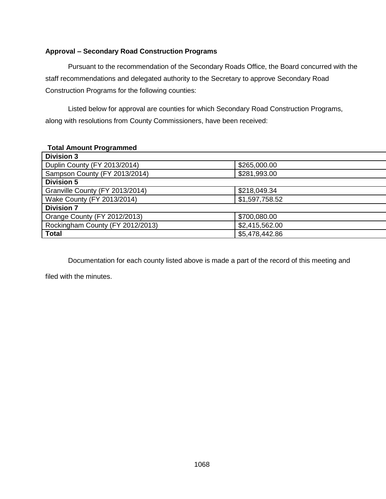## **Approval – Secondary Road Construction Programs**

Pursuant to the recommendation of the Secondary Roads Office, the Board concurred with the staff recommendations and delegated authority to the Secretary to approve Secondary Road Construction Programs for the following counties:

Listed below for approval are counties for which Secondary Road Construction Programs, along with resolutions from County Commissioners, have been received:

### **Total Amount Programmed**

| <b>Division 3</b>                |                |
|----------------------------------|----------------|
| Duplin County (FY 2013/2014)     | \$265,000.00   |
| Sampson County (FY 2013/2014)    | \$281,993.00   |
| <b>Division 5</b>                |                |
| Granville County (FY 2013/2014)  | \$218,049.34   |
| Wake County (FY 2013/2014)       | \$1,597,758.52 |
| <b>Division 7</b>                |                |
| Orange County (FY 2012/2013)     | \$700,080.00   |
| Rockingham County (FY 2012/2013) | \$2,415,562.00 |
| <b>Total</b>                     | \$5,478,442.86 |
|                                  |                |

Documentation for each county listed above is made a part of the record of this meeting and

filed with the minutes.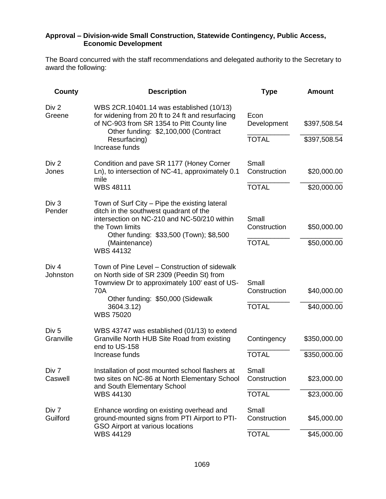#### **Approval – Division-wide Small Construction, Statewide Contingency, Public Access, Economic Development**

The Board concurred with the staff recommendations and delegated authority to the Secretary to award the following:

| County                        | <b>Description</b>                                                                                                                                                                 | <b>Type</b>           | <b>Amount</b> |
|-------------------------------|------------------------------------------------------------------------------------------------------------------------------------------------------------------------------------|-----------------------|---------------|
| Div 2<br>Greene               | WBS 2CR.10401.14 was established (10/13)<br>for widening from 20 ft to 24 ft and resurfacing<br>of NC-903 from SR 1354 to Pitt County line<br>Other funding: \$2,100,000 (Contract | Econ<br>Development   | \$397,508.54  |
|                               | Resurfacing)<br>Increase funds                                                                                                                                                     | <b>TOTAL</b>          | \$397,508.54  |
| Div 2<br>Jones                | Condition and pave SR 1177 (Honey Corner<br>Ln), to intersection of NC-41, approximately 0.1<br>mile                                                                               | Small<br>Construction | \$20,000.00   |
|                               | <b>WBS 48111</b>                                                                                                                                                                   | <b>TOTAL</b>          | \$20,000.00   |
| Div 3<br>Pender               | Town of Surf City – Pipe the existing lateral<br>ditch in the southwest quadrant of the<br>intersection on NC-210 and NC-50/210 within<br>the Town limits                          | Small<br>Construction | \$50,000.00   |
|                               | Other funding: \$33,500 (Town); \$8,500<br>(Maintenance)<br><b>WBS 44132</b>                                                                                                       | <b>TOTAL</b>          | \$50,000.00   |
| Div <sub>4</sub><br>Johnston  | Town of Pine Level – Construction of sidewalk<br>on North side of SR 2309 (Peedin St) from<br>Townview Dr to approximately 100' east of US-<br><b>70A</b>                          | Small<br>Construction | \$40,000.00   |
|                               | Other funding: \$50,000 (Sidewalk<br>3604.3.12)<br><b>WBS 75020</b>                                                                                                                | <b>TOTAL</b>          | \$40,000.00   |
| Div <sub>5</sub><br>Granville | WBS 43747 was established (01/13) to extend<br>Granville North HUB Site Road from existing<br>end to US-158                                                                        | Contingency           | \$350,000.00  |
|                               | Increase funds                                                                                                                                                                     | <b>TOTAL</b>          | \$350,000.00  |
| Div 7<br>Caswell              | Installation of post mounted school flashers at<br>two sites on NC-86 at North Elementary School<br>and South Elementary School                                                    | Small<br>Construction | \$23,000.00   |
|                               | <b>WBS 44130</b>                                                                                                                                                                   | <b>TOTAL</b>          | \$23,000.00   |
| Div 7<br>Guilford             | Enhance wording on existing overhead and<br>ground-mounted signs from PTI Airport to PTI-<br>GSO Airport at various locations                                                      | Small<br>Construction | \$45,000.00   |
|                               | <b>WBS 44129</b>                                                                                                                                                                   | <b>TOTAL</b>          | \$45,000.00   |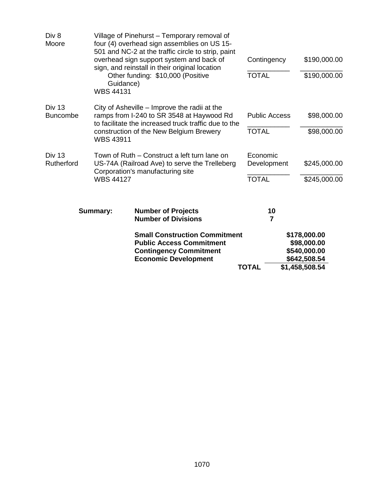|                                  |                               | <b>Small Construction Commitment</b><br><b>Public Access Commitment</b><br><b>Contingency Commitment</b><br><b>Economic Development</b>                                                                                                                                             | <b>TOTAL</b>                            | \$178,000.00<br>\$98,000.00<br>\$540,000.00<br>\$642,508.54<br>\$1,458,508.54 |
|----------------------------------|-------------------------------|-------------------------------------------------------------------------------------------------------------------------------------------------------------------------------------------------------------------------------------------------------------------------------------|-----------------------------------------|-------------------------------------------------------------------------------|
|                                  | <b>Summary:</b>               | <b>Number of Projects</b><br><b>Number of Divisions</b>                                                                                                                                                                                                                             | 10<br>$\overline{7}$                    |                                                                               |
| Div 13<br>Rutherford             | <b>WBS 44127</b>              | Town of Ruth – Construct a left turn lane on<br>US-74A (Railroad Ave) to serve the Trelleberg<br>Corporation's manufacturing site                                                                                                                                                   | Economic<br>Development<br><b>TOTAL</b> | \$245,000.00<br>\$245,000.00                                                  |
| <b>Div 13</b><br><b>Buncombe</b> | <b>WBS 43911</b>              | City of Asheville – Improve the radii at the<br>ramps from I-240 to SR 3548 at Haywood Rd<br>to facilitate the increased truck traffic due to the<br>construction of the New Belgium Brewery                                                                                        | <b>Public Access</b><br><b>TOTAL</b>    | \$98,000.00<br>\$98,000.00                                                    |
| Div 8<br>Moore                   | Guidance)<br><b>WBS 44131</b> | Village of Pinehurst - Temporary removal of<br>four (4) overhead sign assemblies on US 15-<br>501 and NC-2 at the traffic circle to strip, paint<br>overhead sign support system and back of<br>sign, and reinstall in their original location<br>Other funding: \$10,000 (Positive | Contingency<br><b>TOTAL</b>             | \$190,000.00<br>\$190,000.00                                                  |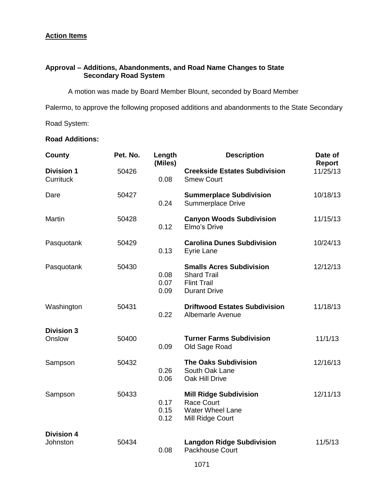## **Action Items**

## **Approval – Additions, Abandonments, and Road Name Changes to State Secondary Road System**

A motion was made by Board Member Blount, seconded by Board Member

Palermo, to approve the following proposed additions and abandonments to the State Secondary

Road System:

## **Road Additions:**

| County                         | Pet. No. | Length<br>(Miles)    | <b>Description</b>                                                                                 | Date of<br>Report |
|--------------------------------|----------|----------------------|----------------------------------------------------------------------------------------------------|-------------------|
| <b>Division 1</b><br>Currituck | 50426    | 0.08                 | <b>Creekside Estates Subdivision</b><br><b>Smew Court</b>                                          | 11/25/13          |
| Dare                           | 50427    | 0.24                 | <b>Summerplace Subdivision</b><br>Summerplace Drive                                                | 10/18/13          |
| <b>Martin</b>                  | 50428    | 0.12                 | <b>Canyon Woods Subdivision</b><br>Elmo's Drive                                                    | 11/15/13          |
| Pasquotank                     | 50429    | 0.13                 | <b>Carolina Dunes Subdivision</b><br><b>Eyrie Lane</b>                                             | 10/24/13          |
| Pasquotank                     | 50430    | 0.08<br>0.07<br>0.09 | <b>Smalls Acres Subdivision</b><br><b>Shard Trail</b><br><b>Flint Trail</b><br><b>Durant Drive</b> | 12/12/13          |
| Washington                     | 50431    | 0.22                 | <b>Driftwood Estates Subdivision</b><br>Albemarle Avenue                                           | 11/18/13          |
| <b>Division 3</b><br>Onslow    | 50400    | 0.09                 | <b>Turner Farms Subdivision</b><br>Old Sage Road                                                   | 11/1/13           |
| Sampson                        | 50432    | 0.26<br>0.06         | <b>The Oaks Subdivision</b><br>South Oak Lane<br>Oak Hill Drive                                    | 12/16/13          |
| Sampson                        | 50433    | 0.17<br>0.15<br>0.12 | <b>Mill Ridge Subdivision</b><br><b>Race Court</b><br><b>Water Wheel Lane</b><br>Mill Ridge Court  | 12/11/13          |
| <b>Division 4</b><br>Johnston  | 50434    | 0.08                 | <b>Langdon Ridge Subdivision</b><br>Packhouse Court                                                | 11/5/13           |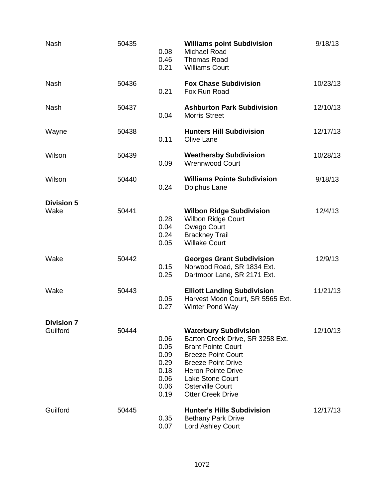| <b>Nash</b>                   | 50435 | 0.08<br>0.46<br>0.21                                         | <b>Williams point Subdivision</b><br><b>Michael Road</b><br><b>Thomas Road</b><br><b>Williams Court</b>                                                                                                                                                                | 9/18/13  |
|-------------------------------|-------|--------------------------------------------------------------|------------------------------------------------------------------------------------------------------------------------------------------------------------------------------------------------------------------------------------------------------------------------|----------|
| <b>Nash</b>                   | 50436 | 0.21                                                         | <b>Fox Chase Subdivision</b><br>Fox Run Road                                                                                                                                                                                                                           | 10/23/13 |
| <b>Nash</b>                   | 50437 | 0.04                                                         | <b>Ashburton Park Subdivision</b><br><b>Morris Street</b>                                                                                                                                                                                                              | 12/10/13 |
| Wayne                         | 50438 | 0.11                                                         | <b>Hunters Hill Subdivision</b><br>Olive Lane                                                                                                                                                                                                                          | 12/17/13 |
| Wilson                        | 50439 | 0.09                                                         | <b>Weathersby Subdivision</b><br><b>Wrennwood Court</b>                                                                                                                                                                                                                | 10/28/13 |
| Wilson                        | 50440 | 0.24                                                         | <b>Williams Pointe Subdivision</b><br>Dolphus Lane                                                                                                                                                                                                                     | 9/18/13  |
| <b>Division 5</b><br>Wake     | 50441 | 0.28<br>0.04<br>0.24<br>0.05                                 | <b>Wilbon Ridge Subdivision</b><br><b>Wilbon Ridge Court</b><br>Owego Court<br><b>Brackney Trail</b><br><b>Willake Court</b>                                                                                                                                           | 12/4/13  |
| Wake                          | 50442 | 0.15<br>0.25                                                 | <b>Georges Grant Subdivision</b><br>Norwood Road, SR 1834 Ext.<br>Dartmoor Lane, SR 2171 Ext.                                                                                                                                                                          | 12/9/13  |
| Wake                          | 50443 | 0.05<br>0.27                                                 | <b>Elliott Landing Subdivision</b><br>Harvest Moon Court, SR 5565 Ext.<br>Winter Pond Way                                                                                                                                                                              | 11/21/13 |
| <b>Division 7</b><br>Guilford | 50444 | 0.06<br>0.05<br>0.09<br>0.29<br>0.18<br>0.06<br>0.06<br>0.19 | <b>Waterbury Subdivision</b><br>Barton Creek Drive, SR 3258 Ext.<br><b>Brant Pointe Court</b><br><b>Breeze Point Court</b><br><b>Breeze Point Drive</b><br><b>Heron Pointe Drive</b><br><b>Lake Stone Court</b><br><b>Osterville Court</b><br><b>Otter Creek Drive</b> | 12/10/13 |
| Guilford                      | 50445 | 0.35<br>0.07                                                 | <b>Hunter's Hills Subdivision</b><br><b>Bethany Park Drive</b><br>Lord Ashley Court                                                                                                                                                                                    | 12/17/13 |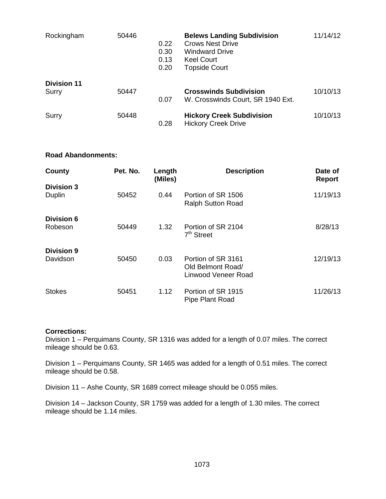| Rockingham                  | 50446 | 0.22<br>0.30<br>0.13<br>0.20 | <b>Belews Landing Subdivision</b><br><b>Crows Nest Drive</b><br><b>Windward Drive</b><br><b>Keel Court</b><br><b>Topside Court</b> | 11/14/12 |
|-----------------------------|-------|------------------------------|------------------------------------------------------------------------------------------------------------------------------------|----------|
| <b>Division 11</b><br>Surry | 50447 | 0.07                         | <b>Crosswinds Subdivision</b><br>W. Crosswinds Court, SR 1940 Ext.                                                                 | 10/10/13 |
| Surry                       | 50448 | 0.28                         | <b>Hickory Creek Subdivision</b><br><b>Hickory Creek Drive</b>                                                                     | 10/10/13 |

#### **Road Abandonments:**

| County                        | Pet. No. | Length<br>(Miles) | <b>Description</b>                                             | Date of<br><b>Report</b> |
|-------------------------------|----------|-------------------|----------------------------------------------------------------|--------------------------|
| <b>Division 3</b><br>Duplin   | 50452    | 0.44              | Portion of SR 1506<br><b>Ralph Sutton Road</b>                 | 11/19/13                 |
| <b>Division 6</b><br>Robeson  | 50449    | 1.32              | Portion of SR 2104<br>$7th$ Street                             | 8/28/13                  |
| <b>Division 9</b><br>Davidson | 50450    | 0.03              | Portion of SR 3161<br>Old Belmont Road/<br>Linwood Veneer Road | 12/19/13                 |
| <b>Stokes</b>                 | 50451    | 1.12              | Portion of SR 1915<br>Pipe Plant Road                          | 11/26/13                 |

#### **Corrections:**

Division 1 – Perquimans County, SR 1316 was added for a length of 0.07 miles. The correct mileage should be 0.63.

Division 1 – Perquimans County, SR 1465 was added for a length of 0.51 miles. The correct mileage should be 0.58.

Division 11 – Ashe County, SR 1689 correct mileage should be 0.055 miles.

Division 14 – Jackson County, SR 1759 was added for a length of 1.30 miles. The correct mileage should be 1.14 miles.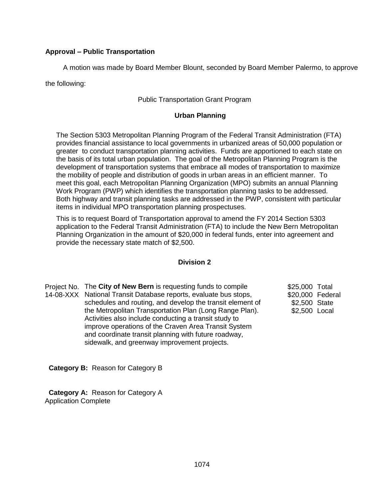## **Approval – Public Transportation**

A motion was made by Board Member Blount, seconded by Board Member Palermo, to approve

the following:

### Public Transportation Grant Program

#### **Urban Planning**

The Section 5303 Metropolitan Planning Program of the Federal Transit Administration (FTA) provides financial assistance to local governments in urbanized areas of 50,000 population or greater to conduct transportation planning activities. Funds are apportioned to each state on the basis of its total urban population. The goal of the Metropolitan Planning Program is the development of transportation systems that embrace all modes of transportation to maximize the mobility of people and distribution of goods in urban areas in an efficient manner. To meet this goal, each Metropolitan Planning Organization (MPO) submits an annual Planning Work Program (PWP) which identifies the transportation planning tasks to be addressed. Both highway and transit planning tasks are addressed in the PWP, consistent with particular items in individual MPO transportation planning prospectuses.

This is to request Board of Transportation approval to amend the FY 2014 Section 5303 application to the Federal Transit Administration (FTA) to include the New Bern Metropolitan Planning Organization in the amount of \$20,000 in federal funds, enter into agreement and provide the necessary state match of \$2,500.

#### **Division 2**

Project No. The **City of New Bern** is requesting funds to compile 14-08-XXX National Transit Database reports, evaluate bus stops, schedules and routing, and develop the transit element of the Metropolitan Transportation Plan (Long Range Plan). Activities also include conducting a transit study to improve operations of the Craven Area Transit System and coordinate transit planning with future roadway, sidewalk, and greenway improvement projects.

\$25,000 Total \$20,000 Federal \$2,500 State \$2,500 Local

 **Category B:** Reason for Category B

 **Category A:** Reason for Category A Application Complete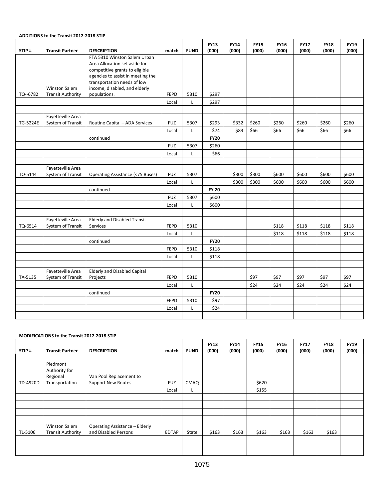#### **ADDITIONS to the Transit 2012-2018 STIP**

| STIP#      | <b>Transit Partner</b>                 | <b>DESCRIPTION</b>                                                                                                                                                                                   | match                | <b>FUND</b> | <b>FY13</b><br>(000) | <b>FY14</b><br>(000) | <b>FY15</b><br>(000) | <b>FY16</b><br>(000) | <b>FY17</b><br>(000) | <b>FY18</b><br>(000) | <b>FY19</b><br>(000) |
|------------|----------------------------------------|------------------------------------------------------------------------------------------------------------------------------------------------------------------------------------------------------|----------------------|-------------|----------------------|----------------------|----------------------|----------------------|----------------------|----------------------|----------------------|
|            | <b>Winston Salem</b>                   | FTA 5310 Winston Salem Urban<br>Area Allocation set aside for<br>competitive grants to eligible<br>agencies to assist in meeting the<br>transportation needs of low<br>income, disabled, and elderly |                      |             |                      |                      |                      |                      |                      |                      |                      |
| TQ -- 6782 | <b>Transit Authority</b>               | populations.                                                                                                                                                                                         | <b>FEPD</b><br>Local | 5310<br>L   | \$297<br>\$297       |                      |                      |                      |                      |                      |                      |
|            |                                        |                                                                                                                                                                                                      |                      |             |                      |                      |                      |                      |                      |                      |                      |
| TG-5224E   | Fayetteville Area<br>System of Transit | Routine Capital - ADA Services                                                                                                                                                                       | <b>FUZ</b>           | 5307        | \$293                | \$332                | \$260                | \$260                | \$260                | \$260                | \$260                |
|            |                                        |                                                                                                                                                                                                      | Local                | L           | \$74                 | \$83                 | \$66                 | \$66                 | \$66                 | \$66                 | \$66                 |
|            |                                        | continued                                                                                                                                                                                            |                      |             | <b>FY20</b>          |                      |                      |                      |                      |                      |                      |
|            |                                        |                                                                                                                                                                                                      | <b>FUZ</b>           | 5307        | \$260                |                      |                      |                      |                      |                      |                      |
|            |                                        |                                                                                                                                                                                                      | Local                | L           | \$66                 |                      |                      |                      |                      |                      |                      |
|            |                                        |                                                                                                                                                                                                      |                      |             |                      |                      |                      |                      |                      |                      |                      |
| TO-5144    | Fayetteville Area<br>System of Transit | Operating Assistance (<75 Buses)                                                                                                                                                                     | <b>FUZ</b>           | 5307        |                      | \$300                | \$300                | \$600                | \$600                | \$600                | \$600                |
|            |                                        |                                                                                                                                                                                                      | Local                | L           |                      | \$300                | \$300                | \$600                | \$600                | \$600                | \$600                |
|            |                                        | continued                                                                                                                                                                                            |                      |             | <b>FY 20</b>         |                      |                      |                      |                      |                      |                      |
|            |                                        |                                                                                                                                                                                                      | <b>FUZ</b>           | 5307        | \$600                |                      |                      |                      |                      |                      |                      |
|            |                                        |                                                                                                                                                                                                      | Local                | Г           | \$600                |                      |                      |                      |                      |                      |                      |
|            |                                        |                                                                                                                                                                                                      |                      |             |                      |                      |                      |                      |                      |                      |                      |
| TQ-6514    | Fayetteville Area<br>System of Transit | <b>Elderly and Disabled Transit</b><br>Services                                                                                                                                                      | <b>FEPD</b>          | 5310        |                      |                      |                      | \$118                | \$118                | \$118                | \$118                |
|            |                                        |                                                                                                                                                                                                      | Local                | L           |                      |                      |                      | \$118                | \$118                | \$118                | \$118                |
|            |                                        | continued                                                                                                                                                                                            |                      |             | <b>FY20</b>          |                      |                      |                      |                      |                      |                      |
|            |                                        |                                                                                                                                                                                                      | <b>FEPD</b>          | 5310        | \$118                |                      |                      |                      |                      |                      |                      |
|            |                                        |                                                                                                                                                                                                      | Local                | L           | \$118                |                      |                      |                      |                      |                      |                      |
|            |                                        |                                                                                                                                                                                                      |                      |             |                      |                      |                      |                      |                      |                      |                      |
| TA-5135    | Fayetteville Area<br>System of Transit | <b>Elderly and Disabled Capital</b><br>Projects                                                                                                                                                      | <b>FEPD</b>          | 5310        |                      |                      | \$97                 | \$97                 | \$97                 | \$97                 | \$97                 |
|            |                                        |                                                                                                                                                                                                      | Local                | L           |                      |                      | \$24                 | \$24                 | \$24                 | \$24                 | \$24                 |
|            |                                        | continued                                                                                                                                                                                            |                      |             | <b>FY20</b>          |                      |                      |                      |                      |                      |                      |
|            |                                        |                                                                                                                                                                                                      | FEPD                 | 5310        | \$97                 |                      |                      |                      |                      |                      |                      |
|            |                                        |                                                                                                                                                                                                      | Local                | Г           | \$24                 |                      |                      |                      |                      |                      |                      |
|            |                                        |                                                                                                                                                                                                      |                      |             |                      |                      |                      |                      |                      |                      |                      |

#### **MODIFICATIONS to the Transit 2012-2018 STIP**

| STIP#    | <b>Transit Partner</b>                           | <b>DESCRIPTION</b>                                     | match        | <b>FUND</b> | <b>FY13</b><br>(000) | <b>FY14</b><br>(000) | <b>FY15</b><br>(000) | <b>FY16</b><br>(000) | <b>FY17</b><br>(000) | <b>FY18</b><br>(000) | <b>FY19</b><br>(000) |
|----------|--------------------------------------------------|--------------------------------------------------------|--------------|-------------|----------------------|----------------------|----------------------|----------------------|----------------------|----------------------|----------------------|
|          | Piedmont<br>Authority for                        |                                                        |              |             |                      |                      |                      |                      |                      |                      |                      |
|          | Regional                                         | Van Pool Replacement to                                |              |             |                      |                      |                      |                      |                      |                      |                      |
| TD-4920D | Transportation                                   | <b>Support New Routes</b>                              | <b>FUZ</b>   | CMAQ        |                      |                      | \$620                |                      |                      |                      |                      |
|          |                                                  |                                                        | Local        | L.          |                      |                      | \$155                |                      |                      |                      |                      |
|          |                                                  |                                                        |              |             |                      |                      |                      |                      |                      |                      |                      |
|          |                                                  |                                                        |              |             |                      |                      |                      |                      |                      |                      |                      |
|          |                                                  |                                                        |              |             |                      |                      |                      |                      |                      |                      |                      |
|          |                                                  |                                                        |              |             |                      |                      |                      |                      |                      |                      |                      |
| TL-5106  | <b>Winston Salem</b><br><b>Transit Authority</b> | Operating Assistance - Elderly<br>and Disabled Persons | <b>EDTAP</b> | State       | \$163                | \$163                | \$163                | \$163                | \$163                | \$163                |                      |
|          |                                                  |                                                        |              |             |                      |                      |                      |                      |                      |                      |                      |
|          |                                                  |                                                        |              |             |                      |                      |                      |                      |                      |                      |                      |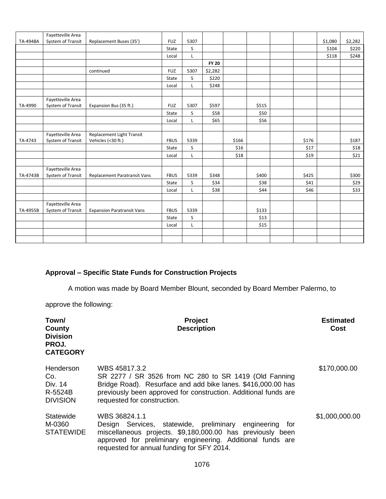|          | Fayetteville Area |                                   |             |      |              |       |       |       |         |         |
|----------|-------------------|-----------------------------------|-------------|------|--------------|-------|-------|-------|---------|---------|
| TA-4948A | System of Transit | Replacement Buses (35')           | <b>FUZ</b>  | 5307 |              |       |       |       | \$1,080 | \$2,282 |
|          |                   |                                   | State       | S    |              |       |       |       | \$104   | \$220   |
|          |                   |                                   | Local       | Г    |              |       |       |       | \$118   | \$248   |
|          |                   |                                   |             |      | <b>FY 20</b> |       |       |       |         |         |
|          |                   | continued                         | <b>FUZ</b>  | 5307 | \$2,282      |       |       |       |         |         |
|          |                   |                                   | State       | S    | \$220        |       |       |       |         |         |
|          |                   |                                   | Local       | L    | \$248        |       |       |       |         |         |
|          |                   |                                   |             |      |              |       |       |       |         |         |
|          | Fayetteville Area |                                   |             |      |              |       |       |       |         |         |
| TA-4990  | System of Transit | Expansion Bus (35 ft.)            | <b>FUZ</b>  | 5307 | \$597        |       | \$515 |       |         |         |
|          |                   |                                   | State       | S    | \$58         |       | \$50  |       |         |         |
|          |                   |                                   | Local       | L.   | \$65         |       | \$56  |       |         |         |
|          |                   |                                   |             |      |              |       |       |       |         |         |
|          | Fayetteville Area | Replacement Light Transit         |             |      |              |       |       |       |         |         |
| TA-4743  | System of Transit | Vehicles (<30 ft.)                | <b>FBUS</b> | 5339 |              | \$166 |       | \$176 |         | \$187   |
|          |                   |                                   | State       | S    |              | \$16  |       | \$17  |         | \$18    |
|          |                   |                                   | Local       | Г    |              | \$18  |       | \$19  |         | \$21    |
|          |                   |                                   |             |      |              |       |       |       |         |         |
|          | Fayetteville Area |                                   |             |      |              |       |       |       |         |         |
| TA-4743B | System of Transit | Replacement Paratransit Vans      | <b>FBUS</b> | 5339 | \$348        |       | \$400 | \$425 |         | \$300   |
|          |                   |                                   | State       | S    | \$34         |       | \$38  | \$41  |         | \$29    |
|          |                   |                                   | Local       | Г    | \$38         |       | \$44  | \$46  |         | \$33    |
|          |                   |                                   |             |      |              |       |       |       |         |         |
|          | Fayetteville Area |                                   |             |      |              |       |       |       |         |         |
| TA-4955B | System of Transit | <b>Expansion Paratransit Vans</b> | <b>FBUS</b> | 5339 |              |       | \$133 |       |         |         |
|          |                   |                                   | State       | S    |              |       | \$13  |       |         |         |
|          |                   |                                   | Local       | Г    |              |       | \$15  |       |         |         |
|          |                   |                                   |             |      |              |       |       |       |         |         |
|          |                   |                                   |             |      |              |       |       |       |         |         |

## **Approval – Specific State Funds for Construction Projects**

A motion was made by Board Member Blount, seconded by Board Member Palermo, to

approve the following:

| Town/<br>County<br><b>Division</b><br>PROJ.<br><b>CATEGORY</b> | Project<br><b>Description</b>                                                                                                                                                                                                                         | <b>Estimated</b><br>Cost |
|----------------------------------------------------------------|-------------------------------------------------------------------------------------------------------------------------------------------------------------------------------------------------------------------------------------------------------|--------------------------|
| Henderson<br>Co.<br>Div. 14<br>R-5524B<br><b>DIVISION</b>      | WBS 45817.3.2<br>SR 2277 / SR 3526 from NC 280 to SR 1419 (Old Fanning<br>Bridge Road). Resurface and add bike lanes. \$416,000.00 has<br>previously been approved for construction. Additional funds are<br>requested for construction.              | \$170,000.00             |
| Statewide<br>M-0360<br><b>STATEWIDE</b>                        | WBS 36824.1.1<br>Design Services, statewide, preliminary engineering<br>tor<br>miscellaneous projects. \$9,180,000.00 has previously been<br>approved for preliminary engineering. Additional funds are<br>requested for annual funding for SFY 2014. | \$1,000,000.00           |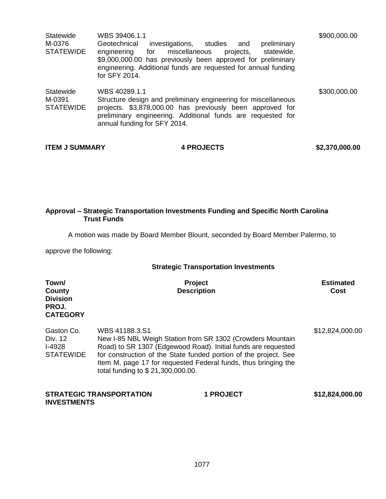| Statewide<br>M-0376<br><b>STATEWIDE</b> | WBS 39406.1.1<br>Geotechnical<br>investigations, studies<br>preliminary<br>and<br>statewide.<br>engineering<br>for<br>miscellaneous<br>projects,<br>\$9,000,000.00 has previously been approved for preliminary<br>engineering. Additional funds are requested for annual funding<br>for SFY 2014. | \$900,000.00 |
|-----------------------------------------|----------------------------------------------------------------------------------------------------------------------------------------------------------------------------------------------------------------------------------------------------------------------------------------------------|--------------|
| Statewide<br>M-0391<br><b>STATEWIDE</b> | WBS 40289.1.1<br>Structure design and preliminary engineering for miscellaneous<br>projects. \$3,878,000.00 has previously been approved for<br>preliminary engineering. Additional funds are requested for<br>annual funding for SFY 2014.                                                        | \$300,000.00 |

| <b>ITEM J SUMMARY</b> | <b>4 PROJECTS</b> | \$2,370,000.00 |
|-----------------------|-------------------|----------------|
|                       |                   |                |

#### **Approval – Strategic Transportation Investments Funding and Specific North Carolina Trust Funds**

A motion was made by Board Member Blount, seconded by Board Member Palermo, to

approve the following:

**INVESTMENTS**

## **Strategic Transportation Investments**

| Town/<br>County<br><b>Division</b><br>PROJ.<br><b>CATEGORY</b> |                                                     | <b>Project</b><br><b>Description</b>                                                                                                                                                                                                                              | <b>Estimated</b><br>Cost |
|----------------------------------------------------------------|-----------------------------------------------------|-------------------------------------------------------------------------------------------------------------------------------------------------------------------------------------------------------------------------------------------------------------------|--------------------------|
| Gaston Co.<br>Div. 12<br><b>I-4928</b><br><b>STATEWIDE</b>     | WBS 41188.3.S1<br>total funding to \$21,300,000.00. | New I-85 NBL Weigh Station from SR 1302 (Crowders Mountain<br>Road) to SR 1307 (Edgewood Road). Initial funds are requested<br>for construction of the State funded portion of the project. See<br>Item M, page 17 for requested Federal funds, thus bringing the | \$12,824,000.00          |
|                                                                | <b>STRATEGIC TRANSPORTATION</b>                     | <b>1 PROJECT</b>                                                                                                                                                                                                                                                  | \$12,824,000.00          |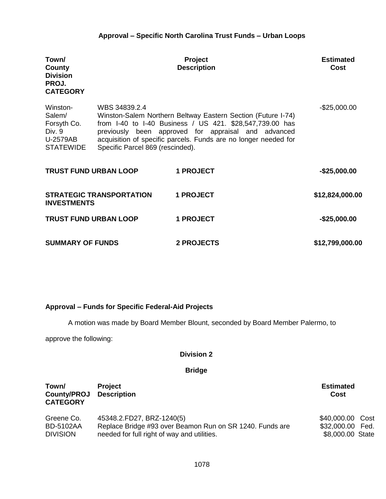## **Approval – Specific North Carolina Trust Funds – Urban Loops**

| Town/<br>County<br><b>Division</b><br>PROJ.<br><b>CATEGORY</b>              |                                                   | <b>Project</b><br><b>Description</b>                                                                                                                                                                                                               | <b>Estimated</b><br>Cost |
|-----------------------------------------------------------------------------|---------------------------------------------------|----------------------------------------------------------------------------------------------------------------------------------------------------------------------------------------------------------------------------------------------------|--------------------------|
| Winston-<br>Salem/<br>Forsyth Co.<br>Div. 9<br>U-2579AB<br><b>STATEWIDE</b> | WBS 34839.2.4<br>Specific Parcel 869 (rescinded). | Winston-Salem Northern Beltway Eastern Section (Future I-74)<br>from I-40 to I-40 Business / US 421. \$28,547,739.00 has<br>previously been approved for appraisal and advanced<br>acquisition of specific parcels. Funds are no longer needed for | $-$25,000.00$            |
|                                                                             | <b>TRUST FUND URBAN LOOP</b>                      | <b>1 PROJECT</b>                                                                                                                                                                                                                                   | $-$ \$25,000.00          |
| <b>INVESTMENTS</b>                                                          | <b>STRATEGIC TRANSPORTATION</b>                   | <b>1 PROJECT</b>                                                                                                                                                                                                                                   | \$12,824,000.00          |
|                                                                             | <b>TRUST FUND URBAN LOOP</b>                      | <b>1 PROJECT</b>                                                                                                                                                                                                                                   | $-$25,000.00$            |
| <b>SUMMARY OF FUNDS</b>                                                     |                                                   | <b>2 PROJECTS</b>                                                                                                                                                                                                                                  | \$12,799,000.00          |

## **Approval – Funds for Specific Federal-Aid Projects**

A motion was made by Board Member Blount, seconded by Board Member Palermo, to

approve the following:

## **Division 2**

| Town/<br>County/PROJ<br><b>CATEGORY</b> | <b>Project</b><br><b>Description</b>                     | <b>Estimated</b><br>Cost |  |
|-----------------------------------------|----------------------------------------------------------|--------------------------|--|
| Greene Co.                              | 45348.2.FD27, BRZ-1240(5)                                | \$40,000.00 Cost         |  |
| <b>BD-5102AA</b>                        | Replace Bridge #93 over Beamon Run on SR 1240. Funds are | \$32,000.00 Fed.         |  |
| <b>DIVISION</b>                         | needed for full right of way and utilities.              | \$8,000.00 State         |  |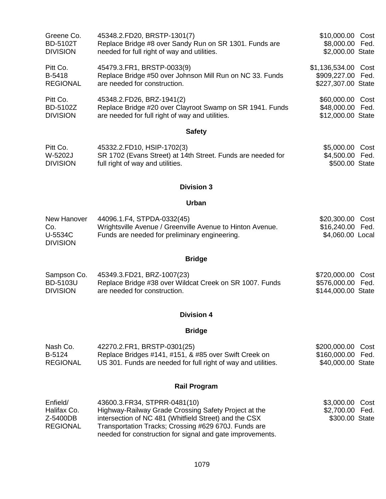| Greene Co.                             | 45348.2.FD20, BRSTP-1301(7)                                                                                                   | \$10,000.00 Cost                                        |
|----------------------------------------|-------------------------------------------------------------------------------------------------------------------------------|---------------------------------------------------------|
| <b>BD-5102T</b>                        | Replace Bridge #8 over Sandy Run on SR 1301. Funds are                                                                        | \$8,000.00 Fed.                                         |
| <b>DIVISION</b>                        | needed for full right of way and utilities.                                                                                   | \$2,000.00 State                                        |
| Pitt Co.                               | 45479.3. FR1, BRSTP-0033(9)                                                                                                   | \$1,136,534.00 Cost                                     |
| B-5418                                 | Replace Bridge #50 over Johnson Mill Run on NC 33. Funds                                                                      | \$909,227.00 Fed.                                       |
| <b>REGIONAL</b>                        | are needed for construction.                                                                                                  | \$227,307.00 State                                      |
| Pitt Co.                               | 45348.2.FD26, BRZ-1941(2)                                                                                                     | \$60,000.00 Cost                                        |
| BD-5102Z                               | Replace Bridge #20 over Clayroot Swamp on SR 1941. Funds                                                                      | \$48,000.00 Fed.                                        |
| <b>DIVISION</b>                        | are needed for full right of way and utilities.                                                                               | \$12,000.00 State                                       |
|                                        | <b>Safety</b>                                                                                                                 |                                                         |
| Pitt Co.<br>W-5202J<br><b>DIVISION</b> | 45332.2.FD10, HSIP-1702(3)<br>SR 1702 (Evans Street) at 14th Street. Funds are needed for<br>full right of way and utilities. | \$5,000.00<br>Cost<br>\$4,500.00 Fed.<br>\$500.00 State |

## **Urban**

| New Hanover     | 44096.1.F4, STPDA-0332(45)                                | \$20,300.00 Cost |  |
|-----------------|-----------------------------------------------------------|------------------|--|
| Co.             | Wrightsville Avenue / Greenville Avenue to Hinton Avenue. | \$16,240.00 Fed. |  |
| U-5534C         | Funds are needed for preliminary engineering.             | \$4,060.00 Local |  |
| <b>DIVISION</b> |                                                           |                  |  |

## **Bridge**

| Sampson Co.     | 45349.3.FD21, BRZ-1007(23)                              | \$720,000.00 Cost  |  |
|-----------------|---------------------------------------------------------|--------------------|--|
| <b>BD-5103U</b> | Replace Bridge #38 over Wildcat Creek on SR 1007. Funds | \$576,000.00 Fed.  |  |
| <b>DIVISION</b> | are needed for construction.                            | \$144,000.00 State |  |

## **Division 4**

## **Bridge**

| Nash Co.        | 42270.2.FR1, BRSTP-0301(25)                                   | \$200,000.00 Cost |  |
|-----------------|---------------------------------------------------------------|-------------------|--|
| B-5124          | Replace Bridges #141, #151, & #85 over Swift Creek on         | \$160,000.00 Fed. |  |
| <b>REGIONAL</b> | US 301. Funds are needed for full right of way and utilities. | \$40,000.00 State |  |

## **Rail Program**

| Enfield/        | 43600.3.FR34, STPRR-0481(10)                              | \$3,000.00 Cost |  |
|-----------------|-----------------------------------------------------------|-----------------|--|
| Halifax Co.     | Highway-Railway Grade Crossing Safety Project at the      | \$2,700.00 Fed. |  |
| Z-5400DB        | intersection of NC 481 (Whitfield Street) and the CSX     | \$300.00 State  |  |
| <b>REGIONAL</b> | Transportation Tracks; Crossing #629 670J. Funds are      |                 |  |
|                 | needed for construction for signal and gate improvements. |                 |  |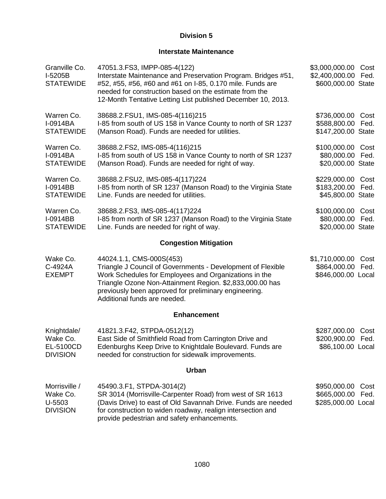## **Interstate Maintenance**

| Granville Co.<br>I-5205B<br><b>STATEWIDE</b>            | 47051.3. FS3, IMPP-085-4(122)<br>Interstate Maintenance and Preservation Program. Bridges #51,<br>#52, #55, #56, #60 and #61 on I-85, 0.170 mile. Funds are<br>needed for construction based on the estimate from the<br>12-Month Tentative Letting List published December 10, 2013.                 | \$3,000,000.00<br>Cost<br>\$2,400,000.00<br>Fed.<br>\$600,000.00 State |
|---------------------------------------------------------|-------------------------------------------------------------------------------------------------------------------------------------------------------------------------------------------------------------------------------------------------------------------------------------------------------|------------------------------------------------------------------------|
| Warren Co.<br>I-0914BA<br><b>STATEWIDE</b>              | 38688.2.FSU1, IMS-085-4(116)215<br>I-85 from south of US 158 in Vance County to north of SR 1237<br>(Manson Road). Funds are needed for utilities.                                                                                                                                                    | \$736,000.00<br>Cost<br>\$588,800.00<br>Fed.<br>\$147,200.00 State     |
| Warren Co.<br>I-0914BA<br><b>STATEWIDE</b>              | 38688.2.FS2, IMS-085-4(116)215<br>I-85 from south of US 158 in Vance County to north of SR 1237<br>(Manson Road). Funds are needed for right of way.                                                                                                                                                  | \$100,000.00<br>Cost<br>\$80,000.00<br>Fed.<br>\$20,000.00 State       |
| Warren Co.<br>I-0914BB<br><b>STATEWIDE</b>              | 38688.2.FSU2, IMS-085-4(117)224<br>I-85 from north of SR 1237 (Manson Road) to the Virginia State<br>Line. Funds are needed for utilities.                                                                                                                                                            | \$229,000.00<br>Cost<br>\$183,200.00<br>Fed.<br>\$45,800.00 State      |
| Warren Co.<br>I-0914BB<br><b>STATEWIDE</b>              | 38688.2.FS3, IMS-085-4(117)224<br>I-85 from north of SR 1237 (Manson Road) to the Virginia State<br>Line. Funds are needed for right of way.                                                                                                                                                          | \$100,000.00<br>Cost<br>\$80,000.00<br>Fed.<br>\$20,000.00 State       |
|                                                         | <b>Congestion Mitigation</b>                                                                                                                                                                                                                                                                          |                                                                        |
| Wake Co.<br>C-4924A<br><b>EXEMPT</b>                    | 44024.1.1, CMS-000S(453)<br>Triangle J Council of Governments - Development of Flexible<br>Work Schedules for Employees and Organizations in the<br>Triangle Ozone Non-Attainment Region. \$2,833,000.00 has<br>previously been approved for preliminary engineering.<br>Additional funds are needed. | \$1,710,000.00<br>Cost<br>\$864,000.00<br>Fed.<br>\$846,000.00 Local   |
|                                                         | <b>Enhancement</b>                                                                                                                                                                                                                                                                                    |                                                                        |
| Knightdale/<br>Wake Co.<br>EL-5100CD<br><b>DIVISION</b> | 41821.3.F42, STPDA-0512(12)<br>East Side of Smithfield Road from Carrington Drive and<br>Edenburghs Keep Drive to Knightdale Boulevard. Funds are<br>needed for construction for sidewalk improvements.                                                                                               | \$287,000.00<br>Cost<br>\$200,900.00 Fed.<br>\$86,100.00 Local         |
|                                                         | <b>Urban</b>                                                                                                                                                                                                                                                                                          |                                                                        |
| Morrisville /<br>Wake Co.<br>U-5503<br><b>DIVISION</b>  | 45490.3.F1, STPDA-3014(2)<br>SR 3014 (Morrisville-Carpenter Road) from west of SR 1613<br>(Davis Drive) to east of Old Savannah Drive. Funds are needed<br>for construction to widen roadway, realign intersection and<br>provide pedestrian and safety enhancements.                                 | \$950,000.00<br>Cost<br>\$665,000.00<br>Fed.<br>\$285,000.00 Local     |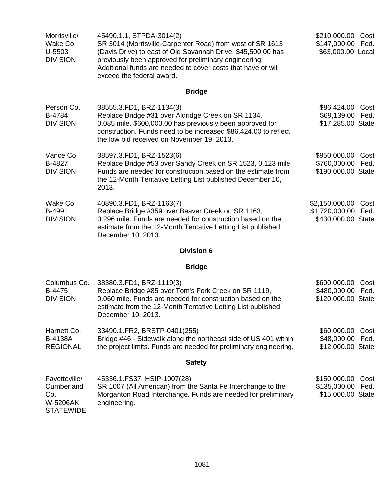| Morrisville/<br>Wake Co.<br>U-5503<br><b>DIVISION</b>              | 45490.1.1, STPDA-3014(2)<br>SR 3014 (Morrisville-Carpenter Road) from west of SR 1613<br>(Davis Drive) to east of Old Savannah Drive. \$45,500.00 has<br>previously been approved for preliminary engineering.<br>Additional funds are needed to cover costs that have or will<br>exceed the federal award. | \$210,000.00<br>Cost<br>\$147,000.00<br>Fed.<br>\$63,000.00 Local      |
|--------------------------------------------------------------------|-------------------------------------------------------------------------------------------------------------------------------------------------------------------------------------------------------------------------------------------------------------------------------------------------------------|------------------------------------------------------------------------|
|                                                                    | <b>Bridge</b>                                                                                                                                                                                                                                                                                               |                                                                        |
| Person Co.<br>B-4784<br><b>DIVISION</b>                            | 38555.3.FD1, BRZ-1134(3)<br>Replace Bridge #31 over Aldridge Creek on SR 1134,<br>0.085 mile. \$600,000.00 has previously been approved for<br>construction. Funds need to be increased \$86,424.00 to reflect<br>the low bid received on November 19, 2013.                                                | \$86,424.00<br>Cost<br>\$69,139.00<br>Fed.<br>\$17,285.00 State        |
| Vance Co.<br>B-4827<br><b>DIVISION</b>                             | 38597.3.FD1, BRZ-1523(6)<br>Replace Bridge #53 over Sandy Creek on SR 1523, 0.123 mile.<br>Funds are needed for construction based on the estimate from<br>the 12-Month Tentative Letting List published December 10,<br>2013.                                                                              | \$950,000.00<br>Cost<br>\$760,000.00<br>Fed.<br>\$190,000.00 State     |
| Wake Co.<br>B-4991<br><b>DIVISION</b>                              | 40890.3.FD1, BRZ-1163(7)<br>Replace Bridge #359 over Beaver Creek on SR 1163,<br>0.296 mile. Funds are needed for construction based on the<br>estimate from the 12-Month Tentative Letting List published<br>December 10, 2013.                                                                            | \$2,150,000.00<br>Cost<br>\$1,720,000.00<br>Fed.<br>\$430,000.00 State |
|                                                                    | <b>Division 6</b>                                                                                                                                                                                                                                                                                           |                                                                        |
|                                                                    | <b>Bridge</b>                                                                                                                                                                                                                                                                                               |                                                                        |
| Columbus Co.<br>B-4475<br><b>DIVISION</b>                          | 38380.3.FD1, BRZ-1119(3)<br>Replace Bridge #85 over Tom's Fork Creek on SR 1119,<br>0.060 mile. Funds are needed for construction based on the<br>estimate from the 12-Month Tentative Letting List published<br>December 10, 2013.                                                                         | \$600,000.00<br>Cost<br>\$480,000.00 Fed.<br>\$120,000.00 State        |
| Harnett Co.<br><b>B-4138A</b><br><b>REGIONAL</b>                   | 33490.1.FR2, BRSTP-0401(255)<br>Bridge #46 - Sidewalk along the northeast side of US 401 within<br>the project limits. Funds are needed for preliminary engineering.                                                                                                                                        | \$60,000.00<br>Cost<br>\$48,000.00<br>Fed.<br>\$12,000.00 State        |
|                                                                    | <b>Safety</b>                                                                                                                                                                                                                                                                                               |                                                                        |
| Fayetteville/<br>Cumberland<br>Co.<br>W-5206AK<br><b>STATEWIDE</b> | 45336.1. FS37, HSIP-1007(28)<br>SR 1007 (All American) from the Santa Fe Interchange to the<br>Morganton Road Interchange. Funds are needed for preliminary<br>engineering.                                                                                                                                 | \$150,000.00<br>Cost<br>\$135,000.00<br>Fed.<br>\$15,000.00 State      |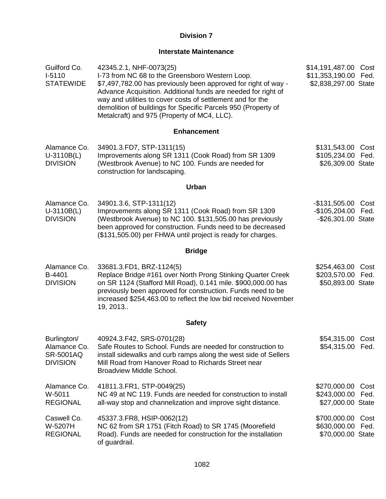## **Interstate Maintenance**

| Guilford Co.<br>$I-5110$<br><b>STATEWIDE</b>                       | 42345.2.1, NHF-0073(25)<br>I-73 from NC 68 to the Greensboro Western Loop.<br>\$7,497,782.00 has previously been approved for right of way -<br>Advance Acquisition. Additional funds are needed for right of<br>way and utilities to cover costs of settlement and for the<br>demolition of buildings for Specific Parcels 950 (Property of<br>Metalcraft) and 975 (Property of MC4, LLC). | \$14,191,487.00 Cost<br>\$11,353,190.00<br>\$2,838,297.00 State | Fed.         |
|--------------------------------------------------------------------|---------------------------------------------------------------------------------------------------------------------------------------------------------------------------------------------------------------------------------------------------------------------------------------------------------------------------------------------------------------------------------------------|-----------------------------------------------------------------|--------------|
|                                                                    | <b>Enhancement</b>                                                                                                                                                                                                                                                                                                                                                                          |                                                                 |              |
| Alamance Co.<br>$U-3110B(L)$<br><b>DIVISION</b>                    | 34901.3.FD7, STP-1311(15)<br>Improvements along SR 1311 (Cook Road) from SR 1309<br>(Westbrook Avenue) to NC 100. Funds are needed for<br>construction for landscaping.                                                                                                                                                                                                                     | \$131,543.00<br>\$105,234.00<br>\$26,309.00 State               | Cost<br>Fed. |
|                                                                    | <b>Urban</b>                                                                                                                                                                                                                                                                                                                                                                                |                                                                 |              |
| Alamance Co.<br>$U-3110B(L)$<br><b>DIVISION</b>                    | 34901.3.6, STP-1311(12)<br>Improvements along SR 1311 (Cook Road) from SR 1309<br>(Westbrook Avenue) to NC 100. \$131,505.00 has previously<br>been approved for construction. Funds need to be decreased<br>(\$131,505.00) per FHWA until project is ready for charges.                                                                                                                    | $-$ \$131,505.00<br>-\$105,204.00 Fed.<br>-\$26,301.00 State    | Cost         |
|                                                                    | <b>Bridge</b>                                                                                                                                                                                                                                                                                                                                                                               |                                                                 |              |
| Alamance Co.<br>B-4401<br><b>DIVISION</b>                          | 33681.3.FD1, BRZ-1124(5)<br>Replace Bridge #161 over North Prong Stinking Quarter Creek<br>on SR 1124 (Stafford Mill Road), 0.141 mile. \$900,000.00 has<br>previously been approved for construction. Funds need to be<br>increased \$254,463.00 to reflect the low bid received November<br>19, 2013                                                                                      | \$254,463.00<br>\$203,570.00<br>\$50,893.00 State               | Cost<br>Fed. |
|                                                                    | <b>Safety</b>                                                                                                                                                                                                                                                                                                                                                                               |                                                                 |              |
| Burlington/<br>Alamance Co.<br><b>SR-5001AQ</b><br><b>DIVISION</b> | 40924.3.F42, SRS-0701(28)<br>Safe Routes to School. Funds are needed for construction to<br>install sidewalks and curb ramps along the west side of Sellers<br>Mill Road from Hanover Road to Richards Street near<br>Broadview Middle School.                                                                                                                                              | \$54,315.00 Cost<br>\$54,315.00 Fed.                            |              |
| Alamance Co.<br>W-5011<br><b>REGIONAL</b>                          | 41811.3.FR1, STP-0049(25)<br>NC 49 at NC 119. Funds are needed for construction to install<br>all-way stop and channelization and improve sight distance.                                                                                                                                                                                                                                   | \$270,000.00<br>\$243,000.00<br>\$27,000.00 State               | Cost<br>Fed. |
| Caswell Co.<br>W-5207H<br><b>REGIONAL</b>                          | 45337.3. FR8, HSIP-0062(12)<br>NC 62 from SR 1751 (Fitch Road) to SR 1745 (Moorefield<br>Road). Funds are needed for construction for the installation<br>of guardrail.                                                                                                                                                                                                                     | \$700,000.00<br>\$630,000.00<br>\$70,000.00 State               | Cost<br>Fed. |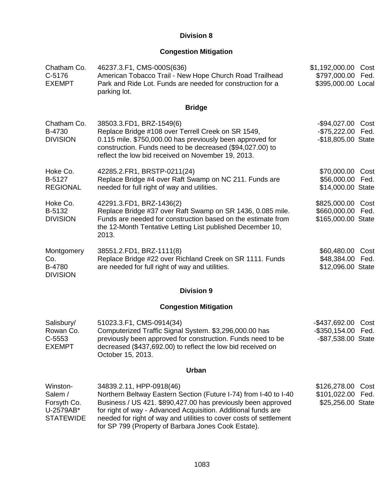## **Congestion Mitigation**

| Chatham Co.<br>C-5176<br><b>EXEMPT</b>                              | 46237.3.F1, CMS-000S(636)<br>American Tobacco Trail - New Hope Church Road Trailhead<br>Park and Ride Lot. Funds are needed for construction for a<br>parking lot.                                                                                                                                                                                         | \$1,192,000.00 Cost<br>\$797,000.00<br>Fed.<br>\$395,000.00 Local        |  |  |
|---------------------------------------------------------------------|------------------------------------------------------------------------------------------------------------------------------------------------------------------------------------------------------------------------------------------------------------------------------------------------------------------------------------------------------------|--------------------------------------------------------------------------|--|--|
|                                                                     | <b>Bridge</b>                                                                                                                                                                                                                                                                                                                                              |                                                                          |  |  |
| Chatham Co.<br>B-4730<br><b>DIVISION</b>                            | 38503.3.FD1, BRZ-1549(6)<br>Replace Bridge #108 over Terrell Creek on SR 1549,<br>0.115 mile. \$750,000.00 has previously been approved for<br>construction. Funds need to be decreased (\$94,027.00) to<br>reflect the low bid received on November 19, 2013.                                                                                             | $-$94,027.00$<br>Cost<br>$-$75,222.00$<br>Fed.<br>-\$18,805.00 State     |  |  |
| Hoke Co.<br>B-5127<br><b>REGIONAL</b>                               | 42285.2.FR1, BRSTP-0211(24)<br>Replace Bridge #4 over Raft Swamp on NC 211. Funds are<br>needed for full right of way and utilities.                                                                                                                                                                                                                       | \$70,000.00<br>Cost<br>\$56,000.00<br>Fed.<br>\$14,000.00 State          |  |  |
| Hoke Co.<br>B-5132<br><b>DIVISION</b>                               | 42291.3.FD1, BRZ-1436(2)<br>Replace Bridge #37 over Raft Swamp on SR 1436, 0.085 mile.<br>Funds are needed for construction based on the estimate from<br>the 12-Month Tentative Letting List published December 10,<br>2013.                                                                                                                              | \$825,000.00<br>Cost<br>\$660,000.00<br>Fed.<br>\$165,000.00 State       |  |  |
| Montgomery<br>Co.<br>B-4780<br><b>DIVISION</b>                      | 38551.2.FD1, BRZ-1111(8)<br>Replace Bridge #22 over Richland Creek on SR 1111. Funds<br>are needed for full right of way and utilities.                                                                                                                                                                                                                    | \$60,480.00<br>Cost<br>\$48,384.00<br>Fed.<br>\$12,096.00 State          |  |  |
|                                                                     | <b>Division 9</b>                                                                                                                                                                                                                                                                                                                                          |                                                                          |  |  |
|                                                                     | <b>Congestion Mitigation</b>                                                                                                                                                                                                                                                                                                                               |                                                                          |  |  |
| Salisbury/<br>Rowan Co.<br>C-5553<br><b>EXEMPT</b>                  | 51023.3.F1, CMS-0914(34)<br>Computerized Traffic Signal System. \$3,296,000.00 has<br>previously been approved for construction. Funds need to be<br>decreased (\$437,692.00) to reflect the low bid received on<br>October 15, 2013.                                                                                                                      | $-$437,692.00$<br>Cost<br>$-$ \$350,154.00<br>Fed.<br>-\$87,538.00 State |  |  |
| <b>Urban</b>                                                        |                                                                                                                                                                                                                                                                                                                                                            |                                                                          |  |  |
| Winston-<br>Salem /<br>Forsyth Co.<br>U-2579AB*<br><b>STATEWIDE</b> | 34839.2.11, HPP-0918(46)<br>Northern Beltway Eastern Section (Future I-74) from I-40 to I-40<br>Business / US 421. \$890,427.00 has previously been approved<br>for right of way - Advanced Acquisition. Additional funds are<br>needed for right of way and utilities to cover costs of settlement<br>for SP 799 (Property of Barbara Jones Cook Estate). | \$126,278.00<br>Cost<br>\$101,022.00 Fed.<br>\$25,256.00 State           |  |  |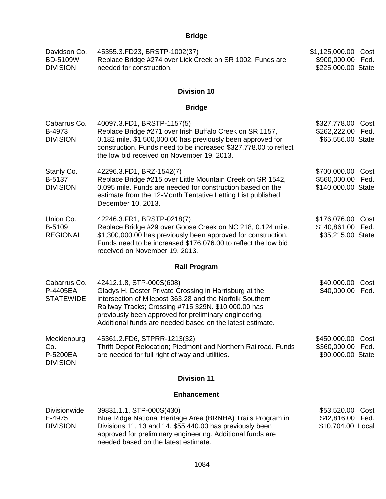| Davidson Co.<br>45355.3.FD23, BRSTP-1002(37)<br>Replace Bridge #274 over Lick Creek on SR 1002. Funds are<br><b>BD-5109W</b><br>needed for construction.<br><b>DIVISION</b> |                                                                                                                                                                                                                                                                                                                             | \$1,125,000.00<br>\$900,000.00<br>\$225,000.00 State         | Cost<br>Fed. |
|-----------------------------------------------------------------------------------------------------------------------------------------------------------------------------|-----------------------------------------------------------------------------------------------------------------------------------------------------------------------------------------------------------------------------------------------------------------------------------------------------------------------------|--------------------------------------------------------------|--------------|
|                                                                                                                                                                             | <b>Division 10</b>                                                                                                                                                                                                                                                                                                          |                                                              |              |
|                                                                                                                                                                             | <b>Bridge</b>                                                                                                                                                                                                                                                                                                               |                                                              |              |
| Cabarrus Co.<br>B-4973<br><b>DIVISION</b>                                                                                                                                   | 40097.3.FD1, BRSTP-1157(5)<br>Replace Bridge #271 over Irish Buffalo Creek on SR 1157,<br>0.182 mile. \$1,500,000.00 has previously been approved for<br>construction. Funds need to be increased \$327,778.00 to reflect<br>the low bid received on November 19, 2013.                                                     | \$327,778.00<br>\$262,222.00<br>\$65,556.00 State            | Cost<br>Fed. |
| Stanly Co.<br>B-5137<br><b>DIVISION</b>                                                                                                                                     | 42296.3.FD1, BRZ-1542(7)<br>Replace Bridge #215 over Little Mountain Creek on SR 1542,<br>0.095 mile. Funds are needed for construction based on the<br>estimate from the 12-Month Tentative Letting List published<br>December 10, 2013.                                                                                   | \$700,000.00 Cost<br>\$560,000.00 Fed.<br>\$140,000.00 State |              |
| Union Co.<br>B-5109<br><b>REGIONAL</b>                                                                                                                                      | 42246.3.FR1, BRSTP-0218(7)<br>Replace Bridge #29 over Goose Creek on NC 218, 0.124 mile.<br>\$1,300,000.00 has previously been approved for construction.<br>Funds need to be increased \$176,076.00 to reflect the low bid<br>received on November 19, 2013.                                                               | \$176,076.00 Cost<br>\$140,861.00 Fed.<br>\$35,215.00 State  |              |
|                                                                                                                                                                             | <b>Rail Program</b>                                                                                                                                                                                                                                                                                                         |                                                              |              |
| Cabarrus Co.<br>P-4405EA<br><b>STATEWIDE</b>                                                                                                                                | 42412.1.8, STP-000S(608)<br>Gladys H. Doster Private Crossing in Harrisburg at the<br>intersection of Milepost 363.28 and the Norfolk Southern<br>Railway Tracks; Crossing #715 329N. \$10,000.00 has<br>previously been approved for preliminary engineering.<br>Additional funds are needed based on the latest estimate. | \$40,000.00<br>\$40,000.00                                   | Cost<br>Fed. |
| Mecklenburg<br>Co.<br>P-5200EA<br><b>DIVISION</b>                                                                                                                           | 45361.2.FD6, STPRR-1213(32)<br>Thrift Depot Relocation; Piedmont and Northern Railroad. Funds<br>are needed for full right of way and utilities.                                                                                                                                                                            | \$450,000.00<br>\$360,000.00<br>\$90,000.00 State            | Cost<br>Fed. |
|                                                                                                                                                                             | <b>Division 11</b>                                                                                                                                                                                                                                                                                                          |                                                              |              |
|                                                                                                                                                                             | <b>Enhancement</b>                                                                                                                                                                                                                                                                                                          |                                                              |              |
| <b>Divisionwide</b><br>E-4975<br><b>DIVISION</b>                                                                                                                            | 39831.1.1, STP-000S(430)<br>Blue Ridge National Heritage Area (BRNHA) Trails Program in<br>Divisions 11, 13 and 14. \$55,440.00 has previously been<br>approved for preliminary engineering. Additional funds are<br>needed based on the latest estimate.                                                                   | \$53,520.00<br>\$42,816.00<br>\$10,704.00 Local              | Cost<br>Fed. |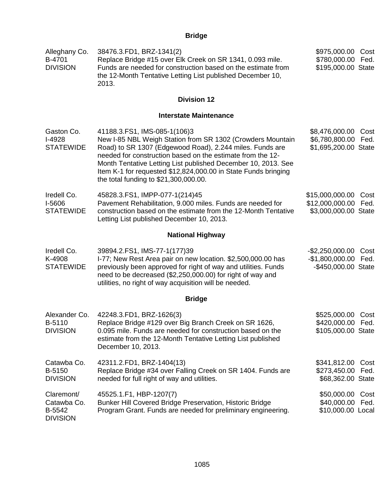| Alleghany Co.<br>B-4701<br><b>DIVISION</b>             | 38476.3.FD1, BRZ-1341(2)<br>Replace Bridge #15 over Elk Creek on SR 1341, 0.093 mile.<br>Funds are needed for construction based on the estimate from<br>the 12-Month Tentative Letting List published December 10,<br>2013.                                                                                                                                                                     |                                                               | \$975,000.00<br>Cost<br>Fed.<br>\$195,000.00 State |
|--------------------------------------------------------|--------------------------------------------------------------------------------------------------------------------------------------------------------------------------------------------------------------------------------------------------------------------------------------------------------------------------------------------------------------------------------------------------|---------------------------------------------------------------|----------------------------------------------------|
|                                                        | <b>Division 12</b>                                                                                                                                                                                                                                                                                                                                                                               |                                                               |                                                    |
|                                                        | <b>Interstate Maintenance</b>                                                                                                                                                                                                                                                                                                                                                                    |                                                               |                                                    |
| Gaston Co.<br>I-4928<br><b>STATEWIDE</b>               | 41188.3.FS1, IMS-085-1(106)3<br>New I-85 NBL Weigh Station from SR 1302 (Crowders Mountain<br>Road) to SR 1307 (Edgewood Road), 2.244 miles. Funds are<br>needed for construction based on the estimate from the 12-<br>Month Tentative Letting List published December 10, 2013. See<br>Item K-1 for requested \$12,824,000.00 in State Funds bringing<br>the total funding to \$21,300,000.00. | \$8,476,000.00<br>\$6,780,800.00<br>\$1,695,200.00 State      | Cost<br>Fed.                                       |
| Iredell Co.<br>I-5606<br><b>STATEWIDE</b>              | 45828.3.FS1, IMPP-077-1(214)45<br>Pavement Rehabilitation, 9.000 miles. Funds are needed for<br>construction based on the estimate from the 12-Month Tentative<br>Letting List published December 10, 2013.                                                                                                                                                                                      | \$15,000,000.00<br>\$12,000,000.00<br>\$3,000,000.00 State    | Cost<br>Fed.                                       |
|                                                        | <b>National Highway</b>                                                                                                                                                                                                                                                                                                                                                                          |                                                               |                                                    |
| Iredell Co.<br>K-4908<br><b>STATEWIDE</b>              | 39894.2.FS1, IMS-77-1(177)39<br>I-77; New Rest Area pair on new location. \$2,500,000.00 has<br>previously been approved for right of way and utilities. Funds<br>need to be decreased (\$2,250,000.00) for right of way and<br>utilities, no right of way acquisition will be needed.                                                                                                           | $-$ \$2,250,000.00<br>$-$1,800,000.00$<br>-\$450,000.00 State | Cost<br>Fed.                                       |
|                                                        | <b>Bridge</b>                                                                                                                                                                                                                                                                                                                                                                                    |                                                               |                                                    |
| Alexander Co.<br>B-5110<br><b>DIVISION</b>             | 42248.3.FD1, BRZ-1626(3)<br>Replace Bridge #129 over Big Branch Creek on SR 1626,<br>0.095 mile. Funds are needed for construction based on the<br>estimate from the 12-Month Tentative Letting List published<br>December 10, 2013.                                                                                                                                                             | \$525,000.00<br>\$420,000.00<br>\$105,000.00 State            | Cost<br>Fed.                                       |
| Catawba Co.<br>B-5150<br><b>DIVISION</b>               | 42311.2.FD1, BRZ-1404(13)<br>Replace Bridge #34 over Falling Creek on SR 1404. Funds are<br>needed for full right of way and utilities.                                                                                                                                                                                                                                                          | \$341,812.00 Cost<br>\$273,450.00<br>\$68,362.00 State        | Fed.                                               |
| Claremont/<br>Catawba Co.<br>B-5542<br><b>DIVISION</b> | 45525.1.F1, HBP-1207(7)<br>Bunker Hill Covered Bridge Preservation, Historic Bridge<br>Program Grant. Funds are needed for preliminary engineering.                                                                                                                                                                                                                                              | \$50,000.00 Cost<br>\$40,000.00<br>\$10,000.00 Local          | Fed.                                               |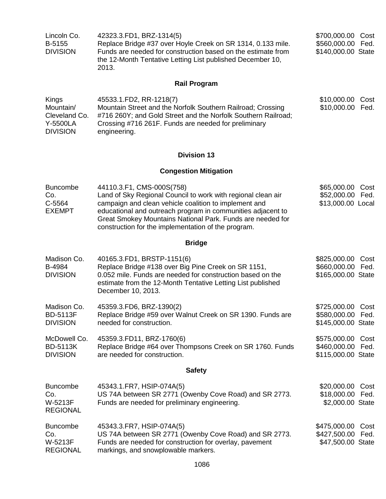| Lincoln Co.<br>B-5155<br><b>DIVISION</b>                           | 42323.3.FD1, BRZ-1314(5)<br>Replace Bridge #37 over Hoyle Creek on SR 1314, 0.133 mile.<br>Funds are needed for construction based on the estimate from<br>the 12-Month Tentative Letting List published December 10,<br>2013.                                                                                                         | \$700,000.00<br>Cost<br>\$560,000.00 Fed.<br>\$140,000.00 State |
|--------------------------------------------------------------------|----------------------------------------------------------------------------------------------------------------------------------------------------------------------------------------------------------------------------------------------------------------------------------------------------------------------------------------|-----------------------------------------------------------------|
|                                                                    | <b>Rail Program</b>                                                                                                                                                                                                                                                                                                                    |                                                                 |
| Kings<br>Mountain/<br>Cleveland Co.<br>Y-5500LA<br><b>DIVISION</b> | 45533.1.FD2, RR-1218(7)<br>Mountain Street and the Norfolk Southern Railroad; Crossing<br>#716 260Y; and Gold Street and the Norfolk Southern Railroad;<br>Crossing #716 261F. Funds are needed for preliminary<br>engineering.                                                                                                        | \$10,000.00 Cost<br>\$10,000.00<br>Fed.                         |
|                                                                    | <b>Division 13</b>                                                                                                                                                                                                                                                                                                                     |                                                                 |
|                                                                    | <b>Congestion Mitigation</b>                                                                                                                                                                                                                                                                                                           |                                                                 |
| <b>Buncombe</b><br>Co.<br>C-5564<br><b>EXEMPT</b>                  | 44110.3.F1, CMS-000S(758)<br>Land of Sky Regional Council to work with regional clean air<br>campaign and clean vehicle coalition to implement and<br>educational and outreach program in communities adjacent to<br>Great Smokey Mountains National Park. Funds are needed for<br>construction for the implementation of the program. | \$65,000.00<br>Cost<br>\$52,000.00 Fed.<br>\$13,000.00 Local    |
|                                                                    | <b>Bridge</b>                                                                                                                                                                                                                                                                                                                          |                                                                 |
| Madison Co.<br>B-4984<br><b>DIVISION</b>                           | 40165.3.FD1, BRSTP-1151(6)<br>Replace Bridge #138 over Big Pine Creek on SR 1151,<br>0.052 mile. Funds are needed for construction based on the<br>estimate from the 12-Month Tentative Letting List published<br>December 10, 2013.                                                                                                   | \$825,000.00<br>Cost<br>\$660,000.00 Fed.<br>\$165,000.00 State |
| Madison Co.<br><b>BD-5113F</b><br><b>DIVISION</b>                  | 45359.3.FD6, BRZ-1390(2)<br>Replace Bridge #59 over Walnut Creek on SR 1390. Funds are<br>needed for construction.                                                                                                                                                                                                                     | \$725,000.00 Cost<br>\$580,000.00 Fed.<br>\$145,000.00 State    |
| McDowell Co.<br><b>BD-5113K</b><br><b>DIVISION</b>                 | 45359.3.FD11, BRZ-1760(6)<br>Replace Bridge #64 over Thompsons Creek on SR 1760. Funds<br>are needed for construction.                                                                                                                                                                                                                 | \$575,000.00 Cost<br>\$460,000.00 Fed.<br>\$115,000.00 State    |
|                                                                    | <b>Safety</b>                                                                                                                                                                                                                                                                                                                          |                                                                 |
| <b>Buncombe</b><br>Co.<br>W-5213F<br><b>REGIONAL</b>               | 45343.1.FR7, HSIP-074A(5)<br>US 74A between SR 2771 (Owenby Cove Road) and SR 2773.<br>Funds are needed for preliminary engineering.                                                                                                                                                                                                   | \$20,000.00<br>Cost<br>\$18,000.00 Fed.<br>\$2,000.00 State     |
| <b>Buncombe</b><br>Co.<br>W-5213F<br><b>REGIONAL</b>               | 45343.3. FR7, HSIP-074A(5)<br>US 74A between SR 2771 (Owenby Cove Road) and SR 2773.<br>Funds are needed for construction for overlay, pavement<br>markings, and snowplowable markers.                                                                                                                                                 | \$475,000.00<br>Cost<br>\$427,500.00 Fed.<br>\$47,500.00 State  |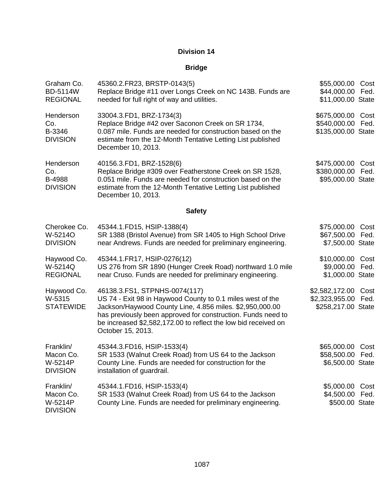| Graham Co.<br><b>BD-5114W</b><br><b>REGIONAL</b>     | 45360.2.FR23, BRSTP-0143(5)<br>Replace Bridge #11 over Longs Creek on NC 143B. Funds are<br>needed for full right of way and utilities.                                                                                                                                                                        | \$55,000.00<br>\$44,000.00<br>\$11,000.00 State        | Cost<br>Fed. |
|------------------------------------------------------|----------------------------------------------------------------------------------------------------------------------------------------------------------------------------------------------------------------------------------------------------------------------------------------------------------------|--------------------------------------------------------|--------------|
| Henderson<br>Co.<br>B-3346<br><b>DIVISION</b>        | 33004.3.FD1, BRZ-1734(3)<br>Replace Bridge #42 over Saconon Creek on SR 1734,<br>0.087 mile. Funds are needed for construction based on the<br>estimate from the 12-Month Tentative Letting List published<br>December 10, 2013.                                                                               | \$675,000.00<br>\$540,000.00<br>\$135,000.00 State     | Cost<br>Fed. |
| Henderson<br>Co.<br>B-4988<br><b>DIVISION</b>        | 40156.3.FD1, BRZ-1528(6)<br>Replace Bridge #309 over Featherstone Creek on SR 1528,<br>0.051 mile. Funds are needed for construction based on the<br>estimate from the 12-Month Tentative Letting List published<br>December 10, 2013.                                                                         | \$475,000.00<br>\$380,000.00<br>\$95,000.00 State      | Cost<br>Fed. |
|                                                      | <b>Safety</b>                                                                                                                                                                                                                                                                                                  |                                                        |              |
| Cherokee Co.<br>W-5214O<br><b>DIVISION</b>           | 45344.1.FD15, HSIP-1388(4)<br>SR 1388 (Bristol Avenue) from SR 1405 to High School Drive<br>near Andrews. Funds are needed for preliminary engineering.                                                                                                                                                        | \$75,000.00<br>\$67,500.00<br>\$7,500.00 State         | Cost<br>Fed. |
| Haywood Co.<br>W-5214Q<br><b>REGIONAL</b>            | 45344.1.FR17, HSIP-0276(12)<br>US 276 from SR 1890 (Hunger Creek Road) northward 1.0 mile<br>near Cruso. Funds are needed for preliminary engineering.                                                                                                                                                         | \$10,000.00<br>\$9,000.00<br>\$1,000.00 State          | Cost<br>Fed. |
| Haywood Co.<br>W-5315<br><b>STATEWIDE</b>            | 46138.3.FS1, STPNHS-0074(117)<br>US 74 - Exit 98 in Haywood County to 0.1 miles west of the<br>Jackson/Haywood County Line, 4.856 miles. \$2,950,000.00<br>has previously been approved for construction. Funds need to<br>be increased \$2,582,172.00 to reflect the low bid received on<br>October 15, 2013. | \$2,582,172.00<br>\$2,323,955.00<br>\$258,217.00 State | Cost<br>Fed. |
| Franklin/<br>Macon Co.<br>W-5214P<br><b>DIVISION</b> | 45344.3.FD16, HSIP-1533(4)<br>SR 1533 (Walnut Creek Road) from US 64 to the Jackson<br>County Line. Funds are needed for construction for the<br>installation of guardrail.                                                                                                                                    | \$65,000.00<br>\$58,500.00<br>\$6,500.00 State         | Cost<br>Fed. |
| Franklin/<br>Macon Co.<br>W-5214P<br><b>DIVISION</b> | 45344.1.FD16, HSIP-1533(4)<br>SR 1533 (Walnut Creek Road) from US 64 to the Jackson<br>County Line. Funds are needed for preliminary engineering.                                                                                                                                                              | \$5,000.00<br>\$4,500.00 Fed.<br>\$500.00 State        | Cost         |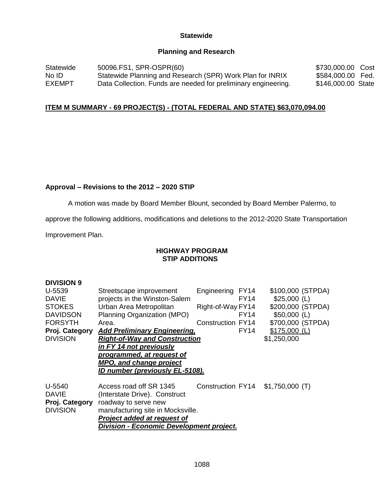#### **Statewide**

#### **Planning and Research**

Statewide No ID EXEMPT 50096.FS1, SPR-OSPR(60) Statewide Planning and Research (SPR) Work Plan for INRIX Data Collection. Funds are needed for preliminary engineering. \$730,000.00 Cost \$584,000.00 Fed. \$146,000.00 State

#### **ITEM M SUMMARY - 69 PROJECT(S) - (TOTAL FEDERAL AND STATE) \$63,070,094.00**

#### **Approval – Revisions to the 2012 – 2020 STIP**

A motion was made by Board Member Blount, seconded by Board Member Palermo, to

approve the following additions, modifications and deletions to the 2012-2020 State Transportation

Improvement Plan.

**DIVISION 9** 

#### **HIGHWAY PROGRAM STIP ADDITIONS**

| DIVISION 9      |                                                 |                          |                   |  |  |
|-----------------|-------------------------------------------------|--------------------------|-------------------|--|--|
| U-5539          | Streetscape improvement                         | Engineering FY14         | \$100,000 (STPDA) |  |  |
| DAVIE           | projects in the Winston-Salem                   | FY14                     | $$25,000$ (L)     |  |  |
| <b>STOKES</b>   | Urban Area Metropolitan                         | Right-of-Way FY14        | \$200,000 (STPDA) |  |  |
| <b>DAVIDSON</b> | Planning Organization (MPO)                     | FY14                     | $$50,000$ (L)     |  |  |
| FORSYTH         | Area.                                           | <b>Construction FY14</b> | \$700,000 (STPDA) |  |  |
| Proj. Category  | <b>Add Preliminary Engineering,</b>             | FY14                     | $$175,000$ (L)    |  |  |
| <b>DIVISION</b> | <b>Right-of-Way and Construction</b>            |                          | \$1,250,000       |  |  |
|                 | in FY 14 not previously                         |                          |                   |  |  |
|                 | programmed, at request of                       |                          |                   |  |  |
|                 | MPO, and change project                         |                          |                   |  |  |
|                 | ID number (previously EL-5108).                 |                          |                   |  |  |
|                 |                                                 |                          |                   |  |  |
| U-5540          | Access road off SR 1345                         | Construction FY14        | $$1,750,000$ (T)  |  |  |
| DAVIE           | (Interstate Drive). Construct                   |                          |                   |  |  |
| Proj. Category  | roadway to serve new                            |                          |                   |  |  |
| <b>DIVISION</b> | manufacturing site in Mocksville.               |                          |                   |  |  |
|                 | Project added at request of                     |                          |                   |  |  |
|                 | <b>Division - Economic Development project.</b> |                          |                   |  |  |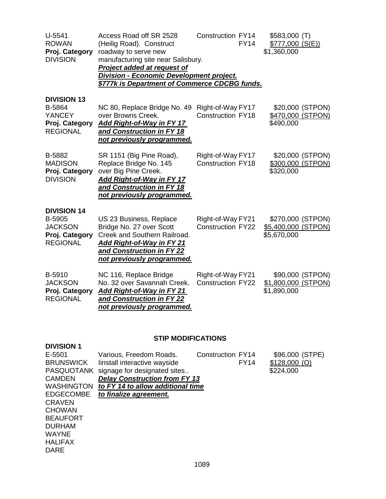| $U-5541$<br><b>ROWAN</b><br>Proj. Category<br><b>DIVISION</b>                       | Access Road off SR 2528<br>(Heilig Road). Construct<br>roadway to serve new<br>manufacturing site near Salisbury.<br><b>Project added at request of</b><br><b>Division - Economic Development project.</b><br>\$777k is Department of Commerce CDCBG funds. | <b>Construction FY14</b><br><b>FY14</b>       | $$583,000$ (T)<br>\$777,000(S(E))<br>\$1,360,000        |
|-------------------------------------------------------------------------------------|-------------------------------------------------------------------------------------------------------------------------------------------------------------------------------------------------------------------------------------------------------------|-----------------------------------------------|---------------------------------------------------------|
| <b>DIVISION 13</b><br>B-5864<br><b>YANCEY</b><br>Proj. Category<br><b>REGIONAL</b>  | NC 80, Replace Bridge No. 49<br>over Browns Creek.<br><b>Add Right-of-Way in FY 17</b><br>and Construction in FY 18<br>not previously programmed.                                                                                                           | Right-of-Way FY17<br><b>Construction FY18</b> | \$20,000 (STPON)<br>\$470,000 (STPON)<br>\$490,000      |
| B-5882<br><b>MADISON</b><br>Proj. Category<br><b>DIVISION</b>                       | SR 1151 (Big Pine Road),<br>Replace Bridge No. 145<br>over Big Pine Creek.<br>Add Right-of-Way in FY 17<br>and Construction in FY 18<br>not previously programmed.                                                                                          | Right-of-Way FY17<br><b>Construction FY18</b> | \$20,000 (STPON)<br>\$300,000 (STPON)<br>\$320,000      |
| <b>DIVISION 14</b><br>B-5905<br><b>JACKSON</b><br>Proj. Category<br><b>REGIONAL</b> | US 23 Business, Replace<br>Bridge No. 27 over Scott<br>Creek and Southern Railroad.<br><u>Add Right-of-Way in FY 21</u><br>and Construction in FY 22<br>not previously programmed.                                                                          | Right-of-Way FY21<br><b>Construction FY22</b> | \$270,000 (STPON)<br>\$5,400,000 (STPON)<br>\$5,670,000 |
| B-5910<br><b>JACKSON</b><br>Proj. Category<br><b>REGIONAL</b>                       | NC 116, Replace Bridge<br>No. 32 over Savannah Creek.<br><b>Add Right-of-Way in FY 21</b><br>and Construction in FY 22<br>not previously programmed.                                                                                                        | Right-of-Way FY21<br><b>Construction FY22</b> | \$90,000 (STPON)<br>\$1,800,000 (STPON)<br>\$1,890,000  |

## **STIP MODIFICATIONS**

| Various, Freedom Roads.                           | <b>Construction FY14</b> | \$96,000 (STPE)                                                           |
|---------------------------------------------------|--------------------------|---------------------------------------------------------------------------|
| linstall interactive wayside                      | <b>FY14</b>              | $$128,000$ (O)                                                            |
| <b>PASQUOTANK</b><br>signage for designated sites |                          | \$224,000                                                                 |
|                                                   |                          |                                                                           |
|                                                   |                          |                                                                           |
| to finalize agreement.                            |                          |                                                                           |
|                                                   |                          |                                                                           |
|                                                   |                          |                                                                           |
|                                                   |                          |                                                                           |
|                                                   |                          |                                                                           |
|                                                   |                          |                                                                           |
|                                                   |                          |                                                                           |
|                                                   |                          |                                                                           |
|                                                   |                          | <b>Delay Construction from FY 13</b><br>to FY 14 to allow additional time |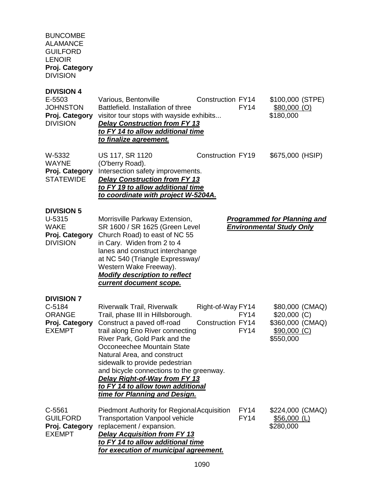#### BUNCOMBE ALAMANCE GUILFORD LENOIR **Proj. Category** DIVISION

## **DIVISION 4**

| E-5503<br><b>JOHNSTON</b><br>Proj. Category<br><b>DIVISION</b>                    | Various, Bentonville<br>Battlefield. Installation of three<br>visitor tour stops with wayside exhibits<br><b>Delay Construction from FY 13</b><br>to FY 14 to allow additional time<br>to finalize agreement.                                                                                                                                                                                                        | <b>Construction FY14</b>                      | <b>FY14</b>                | \$100,000 (STPE)<br>$$80,000$ (O)<br>\$180,000                                    |
|-----------------------------------------------------------------------------------|----------------------------------------------------------------------------------------------------------------------------------------------------------------------------------------------------------------------------------------------------------------------------------------------------------------------------------------------------------------------------------------------------------------------|-----------------------------------------------|----------------------------|-----------------------------------------------------------------------------------|
| W-5332<br>WAYNE<br>Proj. Category<br><b>STATEWIDE</b>                             | US 117, SR 1120<br>(O'berry Road).<br>Intersection safety improvements.<br><b>Delay Construction from FY 13</b><br>to FY 19 to allow additional time<br>to coordinate with project W-5204A.                                                                                                                                                                                                                          | <b>Construction FY19</b>                      |                            | \$675,000 (HSIP)                                                                  |
| <b>DIVISION 5</b><br>U-5315<br>WAKE<br>Proj. Category<br><b>DIVISION</b>          | Morrisville Parkway Extension,<br>SR 1600 / SR 1625 (Green Level<br>Church Road) to east of NC 55<br>in Cary. Widen from 2 to 4<br>lanes and construct interchange<br>at NC 540 (Triangle Expressway/<br>Western Wake Freeway).<br><b>Modify description to reflect</b><br>current document scope.                                                                                                                   |                                               |                            | <b>Programmed for Planning and</b><br><b>Environmental Study Only</b>             |
| <b>DIVISION 7</b><br>$C-5184$<br><b>ORANGE</b><br>Proj. Category<br><b>EXEMPT</b> | Riverwalk Trail, Riverwalk<br>Trail, phase III in Hillsborough.<br>Construct a paved off-road<br>trail along Eno River connecting<br>River Park, Gold Park and the<br>Occoneechee Mountain State<br>Natural Area, and construct<br>sidewalk to provide pedestrian<br>and bicycle connections to the greenway.<br>Delay Right-of-Way from FY 13<br>to FY 14 to allow town additional<br>time for Planning and Design. | Right-of-Way FY14<br><b>Construction FY14</b> | <b>FY14</b><br><b>FY14</b> | \$80,000 (CMAQ)<br>$$20,000$ (C)<br>\$360,000 (CMAQ)<br>\$90,000 (C)<br>\$550,000 |
| C-5561<br><b>GUILFORD</b><br>Proj. Category<br><b>EXEMPT</b>                      | <b>Piedmont Authority for Regional Acquisition</b><br><b>Transportation Vanpool vehicle</b><br>replacement / expansion.<br><b>Delay Acquisition from FY 13</b><br>to FY 14 to allow additional time<br>for execution of municipal agreement.                                                                                                                                                                         |                                               | <b>FY14</b><br><b>FY14</b> | \$224,000 (CMAQ)<br>\$56,000 (L)<br>\$280,000                                     |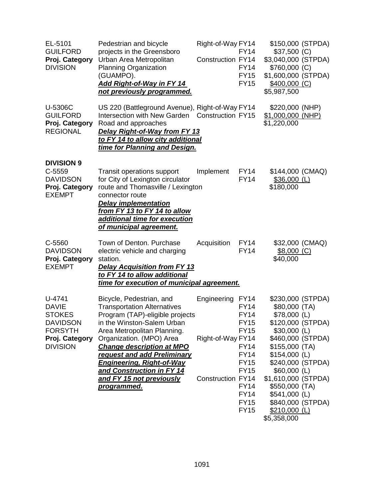| EL-5101<br><b>GUILFORD</b><br>Proj. Category<br><b>DIVISION</b>                                                   | Pedestrian and bicycle<br>projects in the Greensboro<br>Urban Area Metropolitan<br><b>Planning Organization</b><br>(GUAMPO).<br><b>Add Right-of-Way in FY 14</b><br>not previously programmed.                                                                                                                                                                                   | Right-of-Way FY14<br><b>Construction FY14</b>                | <b>FY14</b><br><b>FY14</b><br><b>FY15</b><br><b>FY15</b>                                                                                                                                        | \$150,000 (STPDA)<br>$$37,500$ (C)<br>\$3,040,000 (STPDA)<br>\$760,000 (C)<br>\$1,600,000 (STPDA)<br>$$400,000$ (C)<br>\$5,987,500                                                                                                                                                                         |  |
|-------------------------------------------------------------------------------------------------------------------|----------------------------------------------------------------------------------------------------------------------------------------------------------------------------------------------------------------------------------------------------------------------------------------------------------------------------------------------------------------------------------|--------------------------------------------------------------|-------------------------------------------------------------------------------------------------------------------------------------------------------------------------------------------------|------------------------------------------------------------------------------------------------------------------------------------------------------------------------------------------------------------------------------------------------------------------------------------------------------------|--|
| U-5306C<br><b>GUILFORD</b><br>Proj. Category<br><b>REGIONAL</b>                                                   | US 220 (Battleground Avenue), Right-of-Way FY14<br>Intersection with New Garden Construction FY15<br>Road and approaches<br>Delay Right-of-Way from FY 13<br>to FY 14 to allow city additional<br>time for Planning and Design.                                                                                                                                                  |                                                              |                                                                                                                                                                                                 | \$220,000 (NHP)<br>$$1,000,000$ (NHP)<br>\$1,220,000                                                                                                                                                                                                                                                       |  |
| <b>DIVISION 9</b><br>C-5559<br><b>DAVIDSON</b><br>Proj. Category<br><b>EXEMPT</b>                                 | <b>Transit operations support</b><br>for City of Lexington circulator<br>route and Thomasville / Lexington<br>connector route<br><b>Delay implementation</b><br>from FY 13 to FY 14 to allow<br>additional time for execution<br><u>of municipal agreement.</u>                                                                                                                  | Implement                                                    | <b>FY14</b><br><b>FY14</b>                                                                                                                                                                      | \$144,000 (CMAQ)<br>$$36,000$ (L)<br>\$180,000                                                                                                                                                                                                                                                             |  |
| C-5560<br><b>DAVIDSON</b><br>Proj. Category<br><b>EXEMPT</b>                                                      | Town of Denton. Purchase<br>electric vehicle and charging<br>station.<br><b>Delay Acquisition from FY 13</b><br>to FY 14 to allow additional<br>time for execution of municipal agreement.                                                                                                                                                                                       | Acquisition                                                  | <b>FY14</b><br><b>FY14</b>                                                                                                                                                                      | \$32,000 (CMAQ)<br>\$8,000(C)<br>\$40,000                                                                                                                                                                                                                                                                  |  |
| U-4741<br><b>DAVIE</b><br><b>STOKES</b><br><b>DAVIDSON</b><br><b>FORSYTH</b><br>Proj. Category<br><b>DIVISION</b> | Bicycle, Pedestrian, and<br><b>Transportation Alternatives</b><br>Program (TAP)-eligible projects<br>in the Winston-Salem Urban<br>Area Metropolitan Planning.<br>Organization. (MPO) Area<br><b>Change description at MPO</b><br>request and add Preliminary<br><b>Engineering, Right-of-Way</b><br>and Construction in FY 14<br>and FY 15 not previously<br><u>programmed.</u> | Engineering<br>Right-of-Way FY14<br><b>Construction FY14</b> | <b>FY14</b><br><b>FY14</b><br><b>FY14</b><br><b>FY15</b><br><b>FY15</b><br><b>FY14</b><br><b>FY14</b><br><b>FY15</b><br><b>FY15</b><br><b>FY14</b><br><b>FY14</b><br><b>FY15</b><br><b>FY15</b> | \$230,000 (STPDA)<br>\$80,000 (TA)<br>$$78,000$ (L)<br>\$120,000 (STPDA)<br>$$30,000$ (L)<br>\$460,000 (STPDA)<br>$$155,000$ (TA)<br>$$154,000$ (L)<br>\$240,000 (STPDA)<br>$$60,000$ (L)<br>\$1,610,000 (STPDA)<br>\$550,000 (TA)<br>$$541,000$ (L)<br>\$840,000 (STPDA)<br>$$210,000$ (L)<br>\$5,358,000 |  |

1091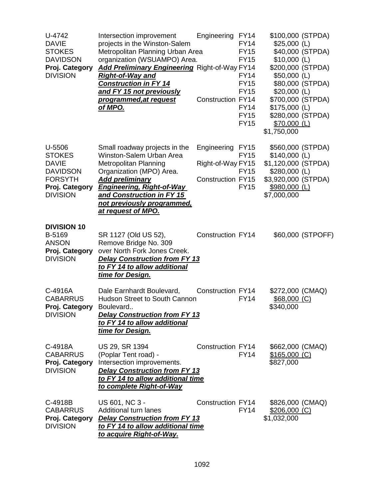| U-4742<br><b>DAVIE</b><br><b>STOKES</b><br><b>DAVIDSON</b><br>Proj. Category<br><b>DIVISION</b> | Intersection improvement<br>projects in the Winston-Salem<br>Metropolitan Planning Urban Area<br>organization (WSUAMPO) Area.<br><b>Add Preliminary Engineering Right-of-Way FY14</b><br><b>Right-of-Way and</b><br><b>Construction in FY 14</b><br>and FY 15 not previously | Engineering                      | <b>FY14</b><br><b>FY14</b><br><b>FY15</b><br><b>FY15</b><br><b>FY14</b><br><b>FY15</b><br><b>FY15</b> | \$100,000 (STPDA)<br>$$25,000$ (L)<br>$$10,000$ (L)<br>\$200,000 (STPDA)<br>$$50,000$ (L)<br>$$20,000$ (L) | \$40,000 (STPDA)<br>\$80,000 (STPDA) |
|-------------------------------------------------------------------------------------------------|------------------------------------------------------------------------------------------------------------------------------------------------------------------------------------------------------------------------------------------------------------------------------|----------------------------------|-------------------------------------------------------------------------------------------------------|------------------------------------------------------------------------------------------------------------|--------------------------------------|
|                                                                                                 | programmed, at request<br><u>of MPO.</u>                                                                                                                                                                                                                                     | <b>Construction FY14</b>         | <b>FY14</b><br><b>FY15</b><br><b>FY15</b>                                                             | \$700,000 (STPDA)<br>$$175,000$ (L)<br>\$280,000 (STPDA)<br>$$70,000$ (L)<br>\$1,750,000                   |                                      |
| U-5506<br><b>STOKES</b><br><b>DAVIE</b>                                                         | Small roadway projects in the<br>Winston-Salem Urban Area<br><b>Metropolitan Planning</b>                                                                                                                                                                                    | Engineering<br>Right-of-Way FY15 | FY <sub>15</sub><br><b>FY15</b>                                                                       | \$560,000 (STPDA)<br>$$140,000$ (L)<br>\$1,120,000 (STPDA)                                                 |                                      |
| <b>DAVIDSON</b><br><b>FORSYTH</b><br>Proj. Category<br><b>DIVISION</b>                          | Organization (MPO) Area.<br>Add preliminary<br><b>Engineering, Right-of-Way</b><br>and Construction in FY 15<br>not previously programmed,<br>at request of MPO.                                                                                                             | <b>Construction FY15</b>         | <b>FY15</b><br><b>FY15</b>                                                                            | $$280,000$ (L)<br>\$3,920,000 (STPDA)<br>\$980,000 (L)<br>\$7,000,000                                      |                                      |
| <b>DIVISION 10</b><br>B-5169<br><b>ANSON</b><br>Proj. Category<br><b>DIVISION</b>               | SR 1127 (Old US 52),<br>Remove Bridge No. 309<br>over North Fork Jones Creek.<br><b>Delay Construction from FY 13</b><br>to FY 14 to allow additional<br><u>time for Design.</u>                                                                                             | <b>Construction FY14</b>         |                                                                                                       |                                                                                                            | \$60,000 (STPOFF)                    |
| C-4916A<br><b>CABARRUS</b><br>Proj. Category<br><b>DIVISION</b>                                 | Dale Earnhardt Boulevard,<br><b>Hudson Street to South Cannon</b><br>Boulevard<br><b>Delay Construction from FY 13</b><br>to FY 14 to allow additional<br>time for Design.                                                                                                   | <b>Construction FY14</b>         | <b>FY14</b>                                                                                           | \$272,000 (CMAQ)<br>$$68,000$ (C)<br>\$340,000                                                             |                                      |
| C-4918A<br><b>CABARRUS</b><br>Proj. Category<br><b>DIVISION</b>                                 | US 29, SR 1394<br>(Poplar Tent road) -<br>Intersection improvements.<br><b>Delay Construction from FY 13</b><br>to FY 14 to allow additional time<br>to complete Right-of-Way                                                                                                | Construction FY14                | <b>FY14</b>                                                                                           | \$662,000 (CMAQ)<br><u>\$165,000 (C)</u><br>\$827,000                                                      |                                      |
| C-4918B<br><b>CABARRUS</b><br>Proj. Category<br><b>DIVISION</b>                                 | US 601, NC 3 -<br>Additional turn lanes<br><b>Delay Construction from FY 13</b><br>to FY 14 to allow additional time<br><u>to acquire Right-of-Way.</u>                                                                                                                      | Construction FY14                | <b>FY14</b>                                                                                           | \$826,000 (CMAQ)<br>$$206,000$ (C)<br>\$1,032,000                                                          |                                      |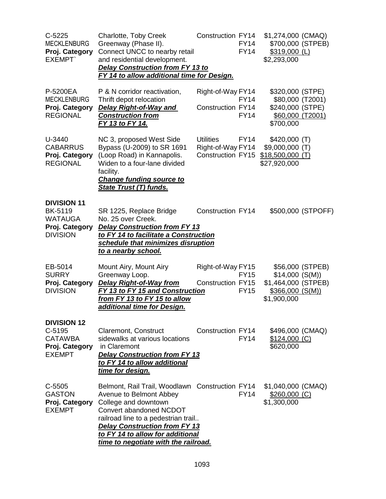| $C-5225$<br><b>MECKLENBURG</b><br>Proj. Category<br><b>EXEMPT</b>                           | Charlotte, Toby Creek<br>Greenway (Phase II).<br>Connect UNCC to nearby retail<br>and residential development.<br><b>Delay Construction from FY 13 to</b><br>FY 14 to allow additional time for Design.                                                                                  | <b>Construction FY14</b>                                          | <b>FY14</b><br><b>FY14</b> | \$1,274,000 (CMAQ)<br>\$700,000 (STPEB)<br>$$319,000$ (L)<br>\$2,293,000                  |                    |
|---------------------------------------------------------------------------------------------|------------------------------------------------------------------------------------------------------------------------------------------------------------------------------------------------------------------------------------------------------------------------------------------|-------------------------------------------------------------------|----------------------------|-------------------------------------------------------------------------------------------|--------------------|
| P-5200EA<br><b>MECKLENBURG</b><br>Proj. Category<br><b>REGIONAL</b>                         | P & N corridor reactivation,<br>Thrift depot relocation<br><b>Delay Right-of-Way and</b><br><b>Construction from</b><br><u>FY 13 to FY 14.</u>                                                                                                                                           | Right-of-Way FY14<br><b>Construction FY14</b>                     | <b>FY14</b><br><b>FY14</b> | \$320,000 (STPE)<br>\$80,000 (T2001)<br>\$240,000 (STPE)<br>\$60,000 (T2001)<br>\$700,000 |                    |
| U-3440<br><b>CABARRUS</b><br>Proj. Category<br><b>REGIONAL</b>                              | NC 3, proposed West Side<br>Bypass (U-2009) to SR 1691<br>(Loop Road) in Kannapolis.<br>Widen to a four-lane divided<br>facility.<br><b>Change funding source to</b><br><b>State Trust (T) funds.</b>                                                                                    | <b>Utilities</b><br>Right-of-Way FY14<br><b>Construction FY15</b> | <b>FY14</b>                | \$420,000 (T)<br>\$9,000,000 (T)<br>$$18,500,000$ (T)<br>\$27,920,000                     |                    |
| <b>DIVISION 11</b><br><b>BK-5119</b><br><b>WATAUGA</b><br>Proj. Category<br><b>DIVISION</b> | SR 1225, Replace Bridge<br>No. 25 over Creek.<br><b>Delay Construction from FY 13</b><br>to FY 14 to facilitate a Construction<br>schedule that minimizes disruption<br>to a nearby school.                                                                                              | <b>Construction FY14</b>                                          |                            |                                                                                           | \$500,000 (STPOFF) |
| EB-5014<br><b>SURRY</b><br>Proj. Category<br><b>DIVISION</b>                                | Mount Airy, Mount Airy<br>Greenway Loop.<br><b>Delay Right-of-Way from</b><br>FY 13 to FY 15 and Construction<br>from FY 13 to FY 15 to allow<br>additional time for Design.                                                                                                             | Right-of-Way FY15<br><b>Construction FY15</b>                     | <b>FY15</b><br><b>FY15</b> | \$14,000(S(M))<br>\$1,464,000 (STPEB)<br>\$366,000(S(M))<br>\$1,900,000                   | \$56,000 (STPEB)   |
| <b>DIVISION 12</b><br>$C-5195$<br><b>CATAWBA</b><br>Proj. Category<br><b>EXEMPT</b>         | <b>Claremont, Construct</b><br>sidewalks at various locations<br>in Claremont<br><b>Delay Construction from FY 13</b><br>to FY 14 to allow additional<br>time for design.                                                                                                                | Construction FY14                                                 | <b>FY14</b>                | \$496,000 (CMAQ)<br>$$124,000$ (C)<br>\$620,000                                           |                    |
| $C-5505$<br><b>GASTON</b><br>Proj. Category<br><b>EXEMPT</b>                                | Belmont, Rail Trail, Woodlawn Construction FY14<br>Avenue to Belmont Abbey<br>College and downtown<br>Convert abandoned NCDOT<br>railroad line to a pedestrian trail<br><b>Delay Construction from FY 13</b><br>to FY 14 to allow for additional<br>time to negotiate with the railroad. |                                                                   | <b>FY14</b>                | \$1,040,000 (CMAQ)<br>\$260,000 (C)<br>\$1,300,000                                        |                    |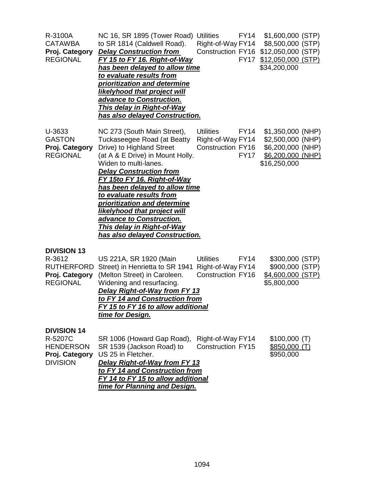| R-3100A<br><b>CATAWBA</b><br>Proj. Category<br><b>REGIONAL</b>                         | NC 16, SR 1895 (Tower Road)<br>to SR 1814 (Caldwell Road).<br><b>Delay Construction from</b><br>FY 15 to FY 16. Right-of-Way<br>has been delayed to allow time<br>to evaluate results from<br>prioritization and determine<br><b>likelyhood that project will</b><br>advance to Construction.<br><b>This delay in Right-of-Way</b><br>has also delayed Construction.                                                                                          | <b>FY14</b><br><b>Utilities</b><br>Right-of-Way FY14<br>Construction FY16<br><b>FY17</b>        | \$1,600,000 (STP)<br>\$8,500,000 (STP)<br>\$12,050,000 (STP)<br>$$12,050,000$ (STP)<br>\$34,200,000 |
|----------------------------------------------------------------------------------------|---------------------------------------------------------------------------------------------------------------------------------------------------------------------------------------------------------------------------------------------------------------------------------------------------------------------------------------------------------------------------------------------------------------------------------------------------------------|-------------------------------------------------------------------------------------------------|-----------------------------------------------------------------------------------------------------|
| U-3633<br><b>GASTON</b><br>Proj. Category<br><b>REGIONAL</b>                           | NC 273 (South Main Street),<br><b>Tuckaseegee Road (at Beatty</b><br>Drive) to Highland Street<br>(at A & E Drive) in Mount Holly.<br>Widen to multi-lanes.<br><b>Delay Construction from</b><br>FY 15to FY 16. Right-of-Way<br>has been delayed to allow time<br>to evaluate results from<br>prioritization and determine<br>likelyhood that project will<br>advance to Construction.<br><b>This delay in Right-of-Way</b><br>has also delayed Construction. | <b>Utilities</b><br><b>FY14</b><br>Right-of-Way FY14<br><b>Construction FY16</b><br><b>FY17</b> | \$1,350,000 (NHP)<br>\$2,500,000 (NHP)<br>\$6,200,000 (NHP)<br>\$6,200,000 (NHP)<br>\$16,250,000    |
| <b>DIVISION 13</b><br>R-3612<br><b>RUTHERFORD</b><br>Proj. Category<br><b>REGIONAL</b> | US 221A, SR 1920 (Main<br>Street) in Henrietta to SR 1941<br>(Melton Street) in Caroleen.<br>Widening and resurfacing.<br>Delay Right-of-Way from FY 13<br>to FY 14 and Construction from<br>FY 15 to FY 16 to allow additional<br>time for Design.                                                                                                                                                                                                           | <b>Utilities</b><br><b>FY14</b><br>Right-of-Way FY14<br><b>Construction FY16</b>                | \$300,000 (STP)<br>\$900,000 (STP)<br>\$4,600,000 (STP)<br>\$5,800,000                              |
| <b>DIVISION 14</b><br>R-5207C<br><b>HENDERSON</b><br>Proj. Category<br><b>DIVISION</b> | SR 1006 (Howard Gap Road),<br>SR 1539 (Jackson Road) to<br>US 25 in Fletcher.<br><b>Delay Right-of-Way from FY 13</b><br>to FY 14 and Construction from<br>FY 14 to FY 15 to allow additional<br>time for Planning and Design.                                                                                                                                                                                                                                | Right-of-Way FY14<br><b>Construction FY15</b>                                                   | \$100,000(T)<br>\$850,000(T)<br>\$950,000                                                           |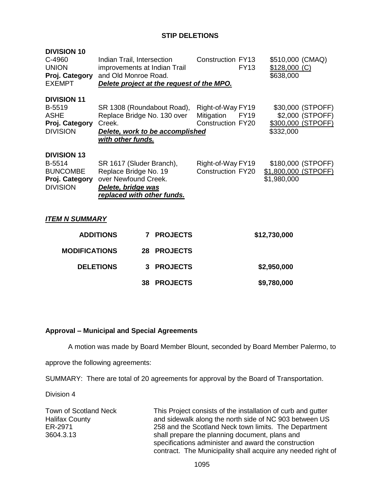## **STIP DELETIONS**

| <b>DIVISION 10</b><br>C-4960<br><b>UNION</b><br>Proj. Category<br><b>EXEMPT</b>      | Indian Trail, Intersection<br>improvements at Indian Trail<br>and Old Monroe Road.                                            |    | Delete project at the request of the MPO.     | <b>Construction FY13</b>                                    | <b>FY13</b>                         | \$510,000 (CMAQ)<br>$$128,000$ (C)<br>\$638,000 |                                                             |
|--------------------------------------------------------------------------------------|-------------------------------------------------------------------------------------------------------------------------------|----|-----------------------------------------------|-------------------------------------------------------------|-------------------------------------|-------------------------------------------------|-------------------------------------------------------------|
| <b>DIVISION 11</b><br>B-5519<br><b>ASHE</b><br>Proj. Category<br><b>DIVISION</b>     | SR 1308 (Roundabout Road),<br>Replace Bridge No. 130 over<br>Creek.<br>with other funds.                                      |    | Delete, work to be accomplished               | Right-of-Way FY19<br>Mitigation<br><b>Construction FY20</b> | <b>FY19</b>                         | \$332,000                                       | \$30,000 (STPOFF)<br>\$2,000 (STPOFF)<br>\$300,000 (STPOFF) |
| <b>DIVISION 13</b><br>B-5514<br><b>BUNCOMBE</b><br>Proj. Category<br><b>DIVISION</b> | SR 1617 (Sluder Branch),<br>Replace Bridge No. 19<br>over Newfound Creek.<br>Delete, bridge was<br>replaced with other funds. |    | Right-of-Way FY19<br><b>Construction FY20</b> |                                                             | \$1,800,000 (STPOFF)<br>\$1,980,000 | \$180,000 (STPOFF)                              |                                                             |
| <b>ITEM N SUMMARY</b>                                                                |                                                                                                                               |    |                                               |                                                             |                                     |                                                 |                                                             |
|                                                                                      | <b>ADDITIONS</b>                                                                                                              | 7  | <b>PROJECTS</b>                               |                                                             |                                     | \$12,730,000                                    |                                                             |
| <b>MODIFICATIONS</b>                                                                 |                                                                                                                               |    | 28 PROJECTS                                   |                                                             |                                     |                                                 |                                                             |
|                                                                                      | <b>DELETIONS</b>                                                                                                              | 3  | <b>PROJECTS</b>                               |                                                             |                                     | \$2,950,000                                     |                                                             |
|                                                                                      |                                                                                                                               | 38 | <b>PROJECTS</b>                               |                                                             |                                     | \$9,780,000                                     |                                                             |

### **Approval – Municipal and Special Agreements**

A motion was made by Board Member Blount, seconded by Board Member Palermo, to

approve the following agreements:

SUMMARY: There are total of 20 agreements for approval by the Board of Transportation.

Division 4

Town of Scotland Neck Halifax County ER-2971 3604.3.13

This Project consists of the installation of curb and gutter and sidewalk along the north side of NC 903 between US 258 and the Scotland Neck town limits. The Department shall prepare the planning document, plans and specifications administer and award the construction contract. The Municipality shall acquire any needed right of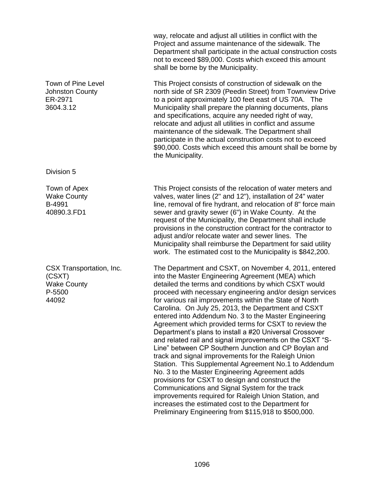|                                                                             | way, relocate and adjust all utilities in conflict with the<br>Project and assume maintenance of the sidewalk. The<br>Department shall participate in the actual construction costs<br>not to exceed \$89,000. Costs which exceed this amount<br>shall be borne by the Municipality.                                                                                                                                                                                                                                                                                                                                                                                                                                                                                                                                                                                                                                                                                                                                                                                                             |
|-----------------------------------------------------------------------------|--------------------------------------------------------------------------------------------------------------------------------------------------------------------------------------------------------------------------------------------------------------------------------------------------------------------------------------------------------------------------------------------------------------------------------------------------------------------------------------------------------------------------------------------------------------------------------------------------------------------------------------------------------------------------------------------------------------------------------------------------------------------------------------------------------------------------------------------------------------------------------------------------------------------------------------------------------------------------------------------------------------------------------------------------------------------------------------------------|
| Town of Pine Level<br><b>Johnston County</b><br>ER-2971<br>3604.3.12        | This Project consists of construction of sidewalk on the<br>north side of SR 2309 (Peedin Street) from Townview Drive<br>to a point approximately 100 feet east of US 70A. The<br>Municipality shall prepare the planning documents, plans<br>and specifications, acquire any needed right of way,<br>relocate and adjust all utilities in conflict and assume<br>maintenance of the sidewalk. The Department shall<br>participate in the actual construction costs not to exceed<br>\$90,000. Costs which exceed this amount shall be borne by<br>the Municipality.                                                                                                                                                                                                                                                                                                                                                                                                                                                                                                                             |
| Division 5                                                                  |                                                                                                                                                                                                                                                                                                                                                                                                                                                                                                                                                                                                                                                                                                                                                                                                                                                                                                                                                                                                                                                                                                  |
| Town of Apex<br><b>Wake County</b><br>B-4991<br>40890.3.FD1                 | This Project consists of the relocation of water meters and<br>valves, water lines (2" and 12"), installation of 24" water<br>line, removal of fire hydrant, and relocation of 8" force main<br>sewer and gravity sewer (6") in Wake County. At the<br>request of the Municipality, the Department shall include<br>provisions in the construction contract for the contractor to<br>adjust and/or relocate water and sewer lines. The<br>Municipality shall reimburse the Department for said utility<br>work. The estimated cost to the Municipality is \$842,200.                                                                                                                                                                                                                                                                                                                                                                                                                                                                                                                             |
| CSX Transportation, Inc.<br>(CSXT)<br><b>Wake County</b><br>P-5500<br>44092 | The Department and CSXT, on November 4, 2011, entered<br>into the Master Engineering Agreement (MEA) which<br>detailed the terms and conditions by which CSXT would<br>proceed with necessary engineering and/or design services<br>for various rail improvements within the State of North<br>Carolina. On July 25, 2013, the Department and CSXT<br>entered into Addendum No. 3 to the Master Engineering<br>Agreement which provided terms for CSXT to review the<br>Department's plans to install a #20 Universal Crossover<br>and related rail and signal improvements on the CSXT "S-<br>Line" between CP Southern Junction and CP Boylan and<br>track and signal improvements for the Raleigh Union<br>Station. This Supplemental Agreement No.1 to Addendum<br>No. 3 to the Master Engineering Agreement adds<br>provisions for CSXT to design and construct the<br>Communications and Signal System for the track<br>improvements required for Raleigh Union Station, and<br>increases the estimated cost to the Department for<br>Preliminary Engineering from \$115,918 to \$500,000. |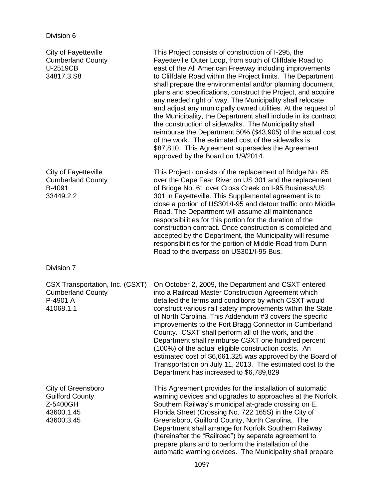| <b>City of Fayetteville</b><br><b>Cumberland County</b><br>U-2519CB<br>34817.3.S8    | This Project consists of construction of I-295, the<br>Fayetteville Outer Loop, from south of Cliffdale Road to<br>east of the All American Freeway including improvements<br>to Cliffdale Road within the Project limits. The Department<br>shall prepare the environmental and/or planning document,<br>plans and specifications, construct the Project, and acquire<br>any needed right of way. The Municipality shall relocate<br>and adjust any municipally owned utilities. At the request of<br>the Municipality, the Department shall include in its contract<br>the construction of sidewalks. The Municipality shall<br>reimburse the Department 50% (\$43,905) of the actual cost<br>of the work. The estimated cost of the sidewalks is<br>\$87,810. This Agreement supersedes the Agreement<br>approved by the Board on 1/9/2014. |
|--------------------------------------------------------------------------------------|------------------------------------------------------------------------------------------------------------------------------------------------------------------------------------------------------------------------------------------------------------------------------------------------------------------------------------------------------------------------------------------------------------------------------------------------------------------------------------------------------------------------------------------------------------------------------------------------------------------------------------------------------------------------------------------------------------------------------------------------------------------------------------------------------------------------------------------------|
| City of Fayetteville<br><b>Cumberland County</b><br>B-4091<br>33449.2.2              | This Project consists of the replacement of Bridge No. 85<br>over the Cape Fear River on US 301 and the replacement<br>of Bridge No. 61 over Cross Creek on I-95 Business/US<br>301 in Fayetteville. This Supplemental agreement is to<br>close a portion of US301/I-95 and detour traffic onto Middle<br>Road. The Department will assume all maintenance<br>responsibilities for this portion for the duration of the<br>construction contract. Once construction is completed and<br>accepted by the Department, the Municipality will resume<br>responsibilities for the portion of Middle Road from Dunn<br>Road to the overpass on US301/I-95 Bus.                                                                                                                                                                                       |
| Division 7                                                                           |                                                                                                                                                                                                                                                                                                                                                                                                                                                                                                                                                                                                                                                                                                                                                                                                                                                |
| CSX Transportation, Inc. (CSXT)<br><b>Cumberland County</b><br>P-4901 A<br>41068.1.1 | On October 2, 2009, the Department and CSXT entered<br>into a Railroad Master Construction Agreement which<br>detailed the terms and conditions by which CSXT would<br>construct various rail safety improvements within the State<br>of North Carolina. This Addendum #3 covers the specific<br>improvements to the Fort Bragg Connector in Cumberland<br>County. CSXT shall perform all of the work, and the<br>Department shall reimburse CSXT one hundred percent<br>(100%) of the actual eligible construction costs. An<br>estimated cost of \$6,661,325 was approved by the Board of<br>Transportation on July 11, 2013. The estimated cost to the<br>Department has increased to \$6,789,829                                                                                                                                           |
| City of Greensboro<br><b>Guilford County</b><br>Z-5400GH<br>43600.1.45<br>43600.3.45 | This Agreement provides for the installation of automatic<br>warning devices and upgrades to approaches at the Norfolk<br>Southern Railway's municipal at-grade crossing on E.<br>Florida Street (Crossing No. 722 165S) in the City of<br>Greensboro, Guilford County, North Carolina. The<br>Department shall arrange for Norfolk Southern Railway<br>(hereinafter the "Railroad") by separate agreement to<br>prepare plans and to perform the installation of the<br>automatic warning devices. The Municipality shall prepare                                                                                                                                                                                                                                                                                                             |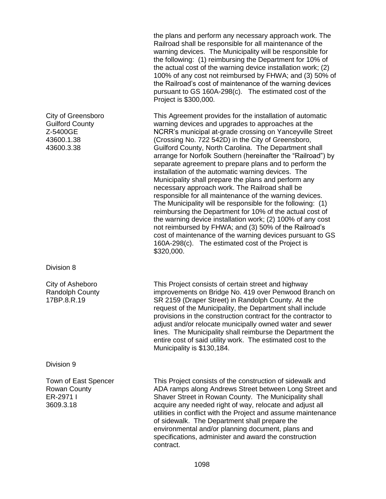the plans and perform any necessary approach work. The Railroad shall be responsible for all maintenance of the warning devices. The Municipality will be responsible for the following: (1) reimbursing the Department for 10% of the actual cost of the warning device installation work; (2) 100% of any cost not reimbursed by FHWA; and (3) 50% of the Railroad's cost of maintenance of the warning devices pursuant to GS 160A-298(c). The estimated cost of the Project is \$300,000.

This Agreement provides for the installation of automatic warning devices and upgrades to approaches at the NCRR's municipal at-grade crossing on Yanceyville Street (Crossing No. 722 542D) in the City of Greensboro, Guilford County, North Carolina. The Department shall arrange for Norfolk Southern (hereinafter the "Railroad") by separate agreement to prepare plans and to perform the installation of the automatic warning devices. The Municipality shall prepare the plans and perform any necessary approach work. The Railroad shall be responsible for all maintenance of the warning devices. The Municipality will be responsible for the following: (1) reimbursing the Department for 10% of the actual cost of the warning device installation work; (2) 100% of any cost not reimbursed by FHWA; and (3) 50% of the Railroad's cost of maintenance of the warning devices pursuant to GS 160A-298(c). The estimated cost of the Project is \$320,000.

This Project consists of certain street and highway improvements on Bridge No. 419 over Penwood Branch on SR 2159 (Draper Street) in Randolph County. At the request of the Municipality, the Department shall include provisions in the construction contract for the contractor to adjust and/or relocate municipally owned water and sewer lines. The Municipality shall reimburse the Department the entire cost of said utility work. The estimated cost to the Municipality is \$130,184.

This Project consists of the construction of sidewalk and ADA ramps along Andrews Street between Long Street and Shaver Street in Rowan County. The Municipality shall acquire any needed right of way, relocate and adjust all utilities in conflict with the Project and assume maintenance of sidewalk. The Department shall prepare the environmental and/or planning document, plans and specifications, administer and award the construction contract.

City of Greensboro Guilford County Z-5400GE 43600.1.38 43600.3.38

Division 8

City of Asheboro Randolph County 17BP.8.R.19

Division 9

Town of East Spencer Rowan County ER-2971 I 3609.3.18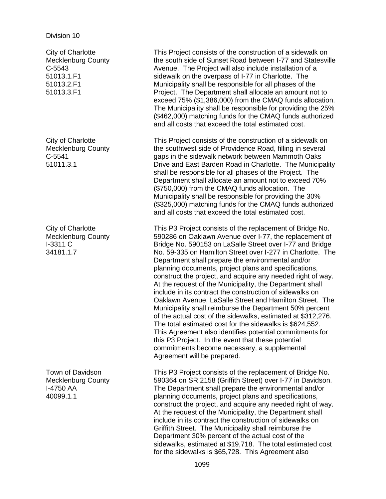City of Charlotte Mecklenburg County C-5543 51013.1.F1 51013.2.F1 51013.3.F1

City of Charlotte Mecklenburg County C-5541 51011.3.1

City of Charlotte Mecklenburg County I-3311 C 34181.1.7

Town of Davidson Mecklenburg County I-4750 AA 40099.1.1

This Project consists of the construction of a sidewalk on the south side of Sunset Road between I-77 and Statesville Avenue. The Project will also include installation of a sidewalk on the overpass of I-77 in Charlotte. The Municipality shall be responsible for all phases of the Project. The Department shall allocate an amount not to exceed 75% (\$1,386,000) from the CMAQ funds allocation. The Municipality shall be responsible for providing the 25% (\$462,000) matching funds for the CMAQ funds authorized and all costs that exceed the total estimated cost.

This Project consists of the construction of a sidewalk on the southwest side of Providence Road, filling in several gaps in the sidewalk network between Mammoth Oaks Drive and East Barden Road in Charlotte. The Municipality shall be responsible for all phases of the Project. The Department shall allocate an amount not to exceed 70% (\$750,000) from the CMAQ funds allocation. The Municipality shall be responsible for providing the 30% (\$325,000) matching funds for the CMAQ funds authorized and all costs that exceed the total estimated cost.

This P3 Project consists of the replacement of Bridge No. 590286 on Oaklawn Avenue over I-77, the replacement of Bridge No. 590153 on LaSalle Street over I-77 and Bridge No. 59-335 on Hamilton Street over I-277 in Charlotte. The Department shall prepare the environmental and/or planning documents, project plans and specifications, construct the project, and acquire any needed right of way. At the request of the Municipality, the Department shall include in its contract the construction of sidewalks on Oaklawn Avenue, LaSalle Street and Hamilton Street. The Municipality shall reimburse the Department 50% percent of the actual cost of the sidewalks, estimated at \$312,276. The total estimated cost for the sidewalks is \$624,552. This Agreement also identifies potential commitments for this P3 Project. In the event that these potential commitments become necessary, a supplemental Agreement will be prepared.

This P3 Project consists of the replacement of Bridge No. 590364 on SR 2158 (Griffith Street) over I-77 in Davidson. The Department shall prepare the environmental and/or planning documents, project plans and specifications, construct the project, and acquire any needed right of way. At the request of the Municipality, the Department shall include in its contract the construction of sidewalks on Griffith Street. The Municipality shall reimburse the Department 30% percent of the actual cost of the sidewalks, estimated at \$19,718. The total estimated cost for the sidewalks is \$65,728. This Agreement also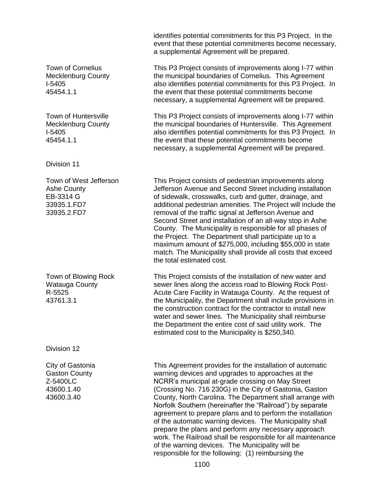identifies potential commitments for this P3 Project. In the event that these potential commitments become necessary, a supplemental Agreement will be prepared. Town of Cornelius Mecklenburg County I-5405 45454.1.1 This P3 Project consists of improvements along I-77 within the municipal boundaries of Cornelius. This Agreement also identifies potential commitments for this P3 Project. In the event that these potential commitments become necessary, a supplemental Agreement will be prepared. Town of Huntersville Mecklenburg County I-5405 45454.1.1 This P3 Project consists of improvements along I-77 within the municipal boundaries of Huntersville. This Agreement also identifies potential commitments for this P3 Project. In the event that these potential commitments become necessary, a supplemental Agreement will be prepared. Division 11 Town of West Jefferson Ashe County EB-3314 G 33935.1.FD7 33935.2.FD7 This Project consists of pedestrian improvements along Jefferson Avenue and Second Street including installation of sidewalk, crosswalks, curb and gutter, drainage, and additional pedestrian amenities. The Project will include the removal of the traffic signal at Jefferson Avenue and Second Street and installation of an all-way stop in Ashe County. The Municipality is responsible for all phases of the Project. The Department shall participate up to a maximum amount of \$275,000, including \$55,000 in state match. The Municipality shall provide all costs that exceed the total estimated cost. Town of Blowing Rock Watauga County R-5525 43761.3.1 This Project consists of the installation of new water and sewer lines along the access road to Blowing Rock Post-Acute Care Facility in Watauga County. At the request of the Municipality, the Department shall include provisions in the construction contract for the contractor to install new water and sewer lines. The Municipality shall reimburse the Department the entire cost of said utility work. The estimated cost to the Municipality is \$250,340. Division 12 City of Gastonia Gaston County Z-5400LC 43600.1.40 43600.3.40 This Agreement provides for the installation of automatic warning devices and upgrades to approaches at the NCRR's municipal at-grade crossing on May Street (Crossing No. 716 230G) in the City of Gastonia, Gaston County, North Carolina. The Department shall arrange with Norfolk Southern (hereinafter the "Railroad") by separate agreement to prepare plans and to perform the installation of the automatic warning devices. The Municipality shall prepare the plans and perform any necessary approach work. The Railroad shall be responsible for all maintenance of the warning devices. The Municipality will be

responsible for the following: (1) reimbursing the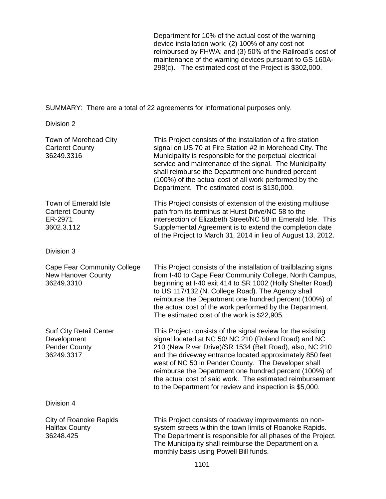Department for 10% of the actual cost of the warning device installation work; (2) 100% of any cost not reimbursed by FHWA; and (3) 50% of the Railroad's cost of maintenance of the warning devices pursuant to GS 160A-298(c). The estimated cost of the Project is \$302,000.

SUMMARY: There are a total of 22 agreements for informational purposes only.

Division 2

| Town of Morehead City<br><b>Carteret County</b><br>36249.3316                       | This Project consists of the installation of a fire station<br>signal on US 70 at Fire Station #2 in Morehead City. The<br>Municipality is responsible for the perpetual electrical<br>service and maintenance of the signal. The Municipality<br>shall reimburse the Department one hundred percent<br>(100%) of the actual cost of all work performed by the<br>Department. The estimated cost is \$130,000.                                                                      |
|-------------------------------------------------------------------------------------|-------------------------------------------------------------------------------------------------------------------------------------------------------------------------------------------------------------------------------------------------------------------------------------------------------------------------------------------------------------------------------------------------------------------------------------------------------------------------------------|
| Town of Emerald Isle<br><b>Carteret County</b><br>ER-2971<br>3602.3.112             | This Project consists of extension of the existing multiuse<br>path from its terminus at Hurst Drive/NC 58 to the<br>intersection of Elizabeth Street/NC 58 in Emerald Isle. This<br>Supplemental Agreement is to extend the completion date<br>of the Project to March 31, 2014 in lieu of August 13, 2012.                                                                                                                                                                        |
| Division 3                                                                          |                                                                                                                                                                                                                                                                                                                                                                                                                                                                                     |
| Cape Fear Community College<br><b>New Hanover County</b><br>36249.3310              | This Project consists of the installation of trailblazing signs<br>from I-40 to Cape Fear Community College, North Campus,<br>beginning at I-40 exit 414 to SR 1002 (Holly Shelter Road)<br>to US 117/132 (N. College Road). The Agency shall<br>reimburse the Department one hundred percent (100%) of<br>the actual cost of the work performed by the Department.<br>The estimated cost of the work is \$22,905.                                                                  |
| <b>Surf City Retail Center</b><br>Development<br><b>Pender County</b><br>36249.3317 | This Project consists of the signal review for the existing<br>signal located at NC 50/ NC 210 (Roland Road) and NC<br>210 (New River Drive)/SR 1534 (Belt Road), also, NC 210<br>and the driveway entrance located approximately 850 feet<br>west of NC 50 in Pender County. The Developer shall<br>reimburse the Department one hundred percent (100%) of<br>the actual cost of said work. The estimated reimbursement<br>to the Department for review and inspection is \$5,000. |
| Division 4                                                                          |                                                                                                                                                                                                                                                                                                                                                                                                                                                                                     |
| <b>City of Roanoke Rapids</b><br><b>Halifax County</b><br>36248.425                 | This Project consists of roadway improvements on non-<br>system streets within the town limits of Roanoke Rapids.<br>The Department is responsible for all phases of the Project.<br>The Municipality shall reimburse the Department on a<br>monthly basis using Powell Bill funds.                                                                                                                                                                                                 |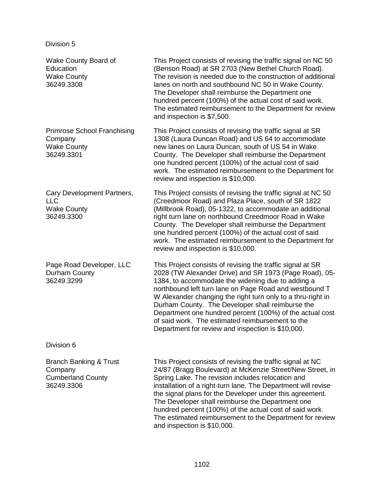| Wake County Board of<br>Education<br><b>Wake County</b><br>36249.3308             | This Project consists of revising the traffic signal on NC 50<br>(Benson Road) at SR 2703 (New Bethel Church Road).<br>The revision is needed due to the construction of additional<br>lanes on north and southbound NC 50 in Wake County.<br>The Developer shall reimburse the Department one<br>hundred percent (100%) of the actual cost of said work.<br>The estimated reimbursement to the Department for review<br>and inspection is \$7,500.                                                                         |
|-----------------------------------------------------------------------------------|-----------------------------------------------------------------------------------------------------------------------------------------------------------------------------------------------------------------------------------------------------------------------------------------------------------------------------------------------------------------------------------------------------------------------------------------------------------------------------------------------------------------------------|
| <b>Primrose School Franchising</b><br>Company<br><b>Wake County</b><br>36249.3301 | This Project consists of revising the traffic signal at SR<br>1308 (Laura Duncan Road) and US 64 to accommodate<br>new lanes on Laura Duncan, south of US 54 in Wake<br>County. The Developer shall reimburse the Department<br>one hundred percent (100%) of the actual cost of said<br>work. The estimated reimbursement to the Department for<br>review and inspection is \$10,000.                                                                                                                                      |
| Cary Development Partners,<br><b>LLC</b><br><b>Wake County</b><br>36249.3300      | This Project consists of revising the traffic signal at NC 50<br>(Creedmoor Road) and Plaza Place, south of SR 1822<br>(Millbrook Road), 05-1322, to accommodate an additional<br>right turn lane on northbound Creedmoor Road in Wake<br>County. The Developer shall reimburse the Department<br>one hundred percent (100%) of the actual cost of said<br>work. The estimated reimbursement to the Department for<br>review and inspection is \$10,000.                                                                    |
| Page Road Developer, LLC<br>Durham County<br>36249.3299                           | This Project consists of revising the traffic signal at SR<br>2028 (TW Alexander Drive) and SR 1973 (Page Road), 05-<br>1384, to accommodate the widening due to adding a<br>northbound left turn lane on Page Road and westbound T<br>W Alexander changing the right turn only to a thru-right in<br>Durham County. The Developer shall reimburse the<br>Department one hundred percent (100%) of the actual cost<br>of said work. The estimated reimbursement to the<br>Department for review and inspection is \$10,000. |
| Division 6                                                                        |                                                                                                                                                                                                                                                                                                                                                                                                                                                                                                                             |
| Branch Banking & Trust<br>Company<br><b>Cumberland County</b><br>36249.3306       | This Project consists of revising the traffic signal at NC<br>24/87 (Bragg Boulevard) at McKenzie Street/New Street, in<br>Spring Lake. The revision includes relocation and<br>installation of a right-turn lane. The Department will revise<br>the signal plans for the Developer under this agreement.<br>The Developer shall reimburse the Department one<br>hundred percent (100%) of the actual cost of said work.<br>The estimated reimbursement to the Department for review<br>and inspection is \$10,000.         |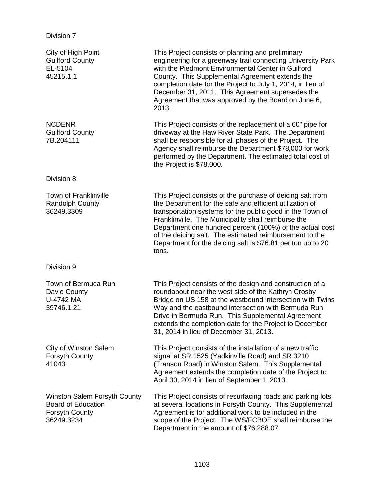| City of High Point<br><b>Guilford County</b><br>EL-5104<br>45215.1.1                      | This Project consists of planning and preliminary<br>engineering for a greenway trail connecting University Park<br>with the Piedmont Environmental Center in Guilford<br>County. This Supplemental Agreement extends the<br>completion date for the Project to July 1, 2014, in lieu of<br>December 31, 2011. This Agreement supersedes the<br>Agreement that was approved by the Board on June 6,<br>2013.                              |
|-------------------------------------------------------------------------------------------|-------------------------------------------------------------------------------------------------------------------------------------------------------------------------------------------------------------------------------------------------------------------------------------------------------------------------------------------------------------------------------------------------------------------------------------------|
| <b>NCDENR</b><br><b>Guilford County</b><br>7B.204111                                      | This Project consists of the replacement of a 60" pipe for<br>driveway at the Haw River State Park. The Department<br>shall be responsible for all phases of the Project. The<br>Agency shall reimburse the Department \$78,000 for work<br>performed by the Department. The estimated total cost of<br>the Project is \$78,000.                                                                                                          |
| Division 8                                                                                |                                                                                                                                                                                                                                                                                                                                                                                                                                           |
| <b>Town of Franklinville</b><br><b>Randolph County</b><br>36249.3309                      | This Project consists of the purchase of deicing salt from<br>the Department for the safe and efficient utilization of<br>transportation systems for the public good in the Town of<br>Franklinville. The Municipality shall reimburse the<br>Department one hundred percent (100%) of the actual cost<br>of the deicing salt. The estimated reimbursement to the<br>Department for the deicing salt is \$76.81 per ton up to 20<br>tons. |
| Division 9                                                                                |                                                                                                                                                                                                                                                                                                                                                                                                                                           |
| Town of Bermuda Run<br>Davie County<br>U-4742 MA<br>39746.1.21                            | This Project consists of the design and construction of a<br>roundabout near the west side of the Kathryn Crosby<br>Bridge on US 158 at the westbound intersection with Twins<br>Way and the eastbound intersection with Bermuda Run<br>Drive in Bermuda Run. This Supplemental Agreement<br>extends the completion date for the Project to December<br>31, 2014 in lieu of December 31, 2013.                                            |
| <b>City of Winston Salem</b><br>Forsyth County<br>41043                                   | This Project consists of the installation of a new traffic<br>signal at SR 1525 (Yadkinville Road) and SR 3210<br>(Transou Road) in Winston Salem. This Supplemental<br>Agreement extends the completion date of the Project to<br>April 30, 2014 in lieu of September 1, 2013.                                                                                                                                                           |
| Winston Salem Forsyth County<br><b>Board of Education</b><br>Forsyth County<br>36249.3234 | This Project consists of resurfacing roads and parking lots<br>at several locations in Forsyth County. This Supplemental<br>Agreement is for additional work to be included in the<br>scope of the Project. The WS/FCBOE shall reimburse the<br>Department in the amount of \$76,288.07.                                                                                                                                                  |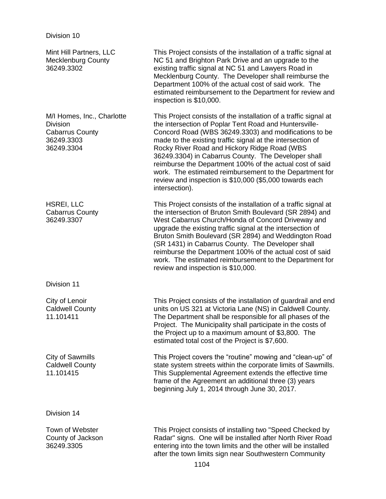36249.3305

Mint Hill Partners, LLC Mecklenburg County 36249.3302 This Project consists of the installation of a traffic signal at NC 51 and Brighton Park Drive and an upgrade to the existing traffic signal at NC 51 and Lawyers Road in Mecklenburg County. The Developer shall reimburse the Department 100% of the actual cost of said work. The estimated reimbursement to the Department for review and inspection is \$10,000. M/I Homes, Inc., Charlotte **Division** Cabarrus County 36249.3303 36249.3304 This Project consists of the installation of a traffic signal at the intersection of Poplar Tent Road and Huntersville-Concord Road (WBS 36249.3303) and modifications to be made to the existing traffic signal at the intersection of Rocky River Road and Hickory Ridge Road (WBS 36249.3304) in Cabarrus County. The Developer shall reimburse the Department 100% of the actual cost of said work. The estimated reimbursement to the Department for review and inspection is \$10,000 (\$5,000 towards each intersection). HSREI, LLC Cabarrus County 36249.3307 This Project consists of the installation of a traffic signal at the intersection of Bruton Smith Boulevard (SR 2894) and West Cabarrus Church/Honda of Concord Driveway and upgrade the existing traffic signal at the intersection of Bruton Smith Boulevard (SR 2894) and Weddington Road (SR 1431) in Cabarrus County. The Developer shall reimburse the Department 100% of the actual cost of said work. The estimated reimbursement to the Department for review and inspection is \$10,000. Division 11 City of Lenoir Caldwell County 11.101411 This Project consists of the installation of guardrail and end units on US 321 at Victoria Lane (NS) in Caldwell County. The Department shall be responsible for all phases of the Project. The Municipality shall participate in the costs of the Project up to a maximum amount of \$3,800. The estimated total cost of the Project is \$7,600. City of Sawmills Caldwell County 11.101415 This Project covers the "routine" mowing and "clean-up" of state system streets within the corporate limits of Sawmills. This Supplemental Agreement extends the effective time frame of the Agreement an additional three (3) years beginning July 1, 2014 through June 30, 2017. Division 14 Town of Webster County of Jackson This Project consists of installing two "Speed Checked by Radar" signs. One will be installed after North River Road

entering into the town limits and the other will be installed after the town limits sign near Southwestern Community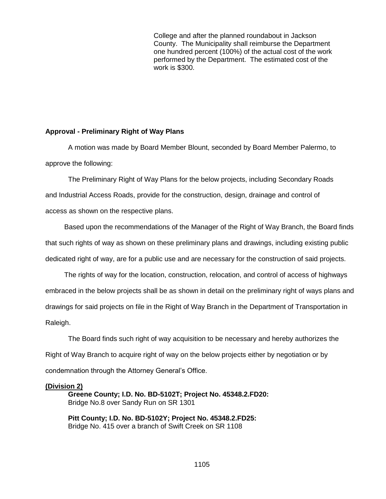College and after the planned roundabout in Jackson County. The Municipality shall reimburse the Department one hundred percent (100%) of the actual cost of the work performed by the Department. The estimated cost of the work is \$300.

#### **Approval - Preliminary Right of Way Plans**

A motion was made by Board Member Blount, seconded by Board Member Palermo, to approve the following:

The Preliminary Right of Way Plans for the below projects, including Secondary Roads and Industrial Access Roads, provide for the construction, design, drainage and control of access as shown on the respective plans.

Based upon the recommendations of the Manager of the Right of Way Branch, the Board finds that such rights of way as shown on these preliminary plans and drawings, including existing public dedicated right of way, are for a public use and are necessary for the construction of said projects.

The rights of way for the location, construction, relocation, and control of access of highways embraced in the below projects shall be as shown in detail on the preliminary right of ways plans and drawings for said projects on file in the Right of Way Branch in the Department of Transportation in Raleigh.

The Board finds such right of way acquisition to be necessary and hereby authorizes the Right of Way Branch to acquire right of way on the below projects either by negotiation or by condemnation through the Attorney General's Office.

#### **(Division 2)**

**Greene County; I.D. No. BD-5102T; Project No. 45348.2.FD20:** Bridge No.8 over Sandy Run on SR 1301

**Pitt County; I.D. No. BD-5102Y; Project No. 45348.2.FD25:** Bridge No. 415 over a branch of Swift Creek on SR 1108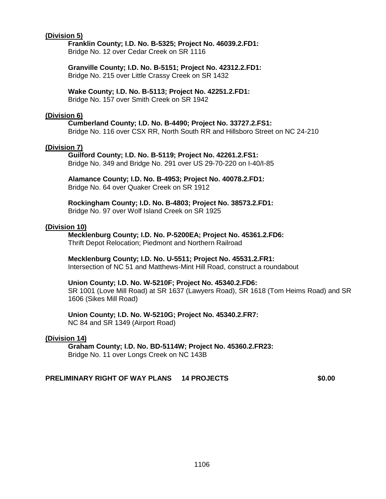#### **(Division 5)**

#### **Franklin County; I.D. No. B-5325; Project No. 46039.2.FD1:**

Bridge No. 12 over Cedar Creek on SR 1116

#### **Granville County; I.D. No. B-5151; Project No. 42312.2.FD1:** Bridge No. 215 over Little Crassy Creek on SR 1432

**Wake County; I.D. No. B-5113; Project No. 42251.2.FD1:** Bridge No. 157 over Smith Creek on SR 1942

#### **(Division 6)**

**Cumberland County; I.D. No. B-4490; Project No. 33727.2.FS1:** Bridge No. 116 over CSX RR, North South RR and Hillsboro Street on NC 24-210

#### **(Division 7)**

**Guilford County; I.D. No. B-5119; Project No. 42261.2.FS1:** Bridge No. 349 and Bridge No. 291 over US 29-70-220 on I-40/I-85

**Alamance County; I.D. No. B-4953; Project No. 40078.2.FD1:** Bridge No. 64 over Quaker Creek on SR 1912

**Rockingham County; I.D. No. B-4803; Project No. 38573.2.FD1:** Bridge No. 97 over Wolf Island Creek on SR 1925

#### **(Division 10)**

**Mecklenburg County; I.D. No. P-5200EA; Project No. 45361.2.FD6:** Thrift Depot Relocation; Piedmont and Northern Railroad

#### **Mecklenburg County; I.D. No. U-5511; Project No. 45531.2.FR1:**

Intersection of NC 51 and Matthews-Mint Hill Road, construct a roundabout

#### **Union County; I.D. No. W-5210F; Project No. 45340.2.FD6:**

SR 1001 (Love Mill Road) at SR 1637 (Lawyers Road), SR 1618 (Tom Heims Road) and SR 1606 (Sikes Mill Road)

#### **Union County; I.D. No. W-5210G; Project No. 45340.2.FR7:**

NC 84 and SR 1349 (Airport Road)

#### **(Division 14)**

**Graham County; I.D. No. BD-5114W; Project No. 45360.2.FR23:** Bridge No. 11 over Longs Creek on NC 143B

## **PRELIMINARY RIGHT OF WAY PLANS 14 PROJECTS \$0.00**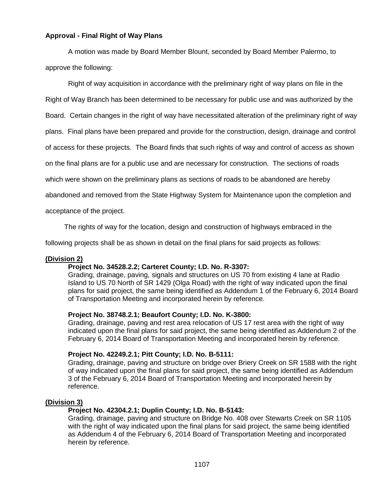#### **Approval - Final Right of Way Plans**

A motion was made by Board Member Blount, seconded by Board Member Palermo, to approve the following:

Right of way acquisition in accordance with the preliminary right of way plans on file in the Right of Way Branch has been determined to be necessary for public use and was authorized by the Board. Certain changes in the right of way have necessitated alteration of the preliminary right of way plans. Final plans have been prepared and provide for the construction, design, drainage and control of access for these projects. The Board finds that such rights of way and control of access as shown on the final plans are for a public use and are necessary for construction. The sections of roads which were shown on the preliminary plans as sections of roads to be abandoned are hereby abandoned and removed from the State Highway System for Maintenance upon the completion and

acceptance of the project.

The rights of way for the location, design and construction of highways embraced in the

following projects shall be as shown in detail on the final plans for said projects as follows:

#### **(Division 2)**

#### **Project No. 34528.2.2; Carteret County; I.D. No. R-3307:**

Grading, drainage, paving, signals and structures on US 70 from existing 4 lane at Radio Island to US 70 North of SR 1429 (Olga Road) with the right of way indicated upon the final plans for said project, the same being identified as Addendum 1 of the February 6, 2014 Board of Transportation Meeting and incorporated herein by reference.

#### **Project No. 38748.2.1; Beaufort County; I.D. No. K-3800:**

Grading, drainage, paving and rest area relocation of US 17 rest area with the right of way indicated upon the final plans for said project, the same being identified as Addendum 2 of the February 6, 2014 Board of Transportation Meeting and incorporated herein by reference.

#### **Project No. 42249.2.1; Pitt County; I.D. No. B-5111:**

Grading, drainage, paving and structure on bridge over Briery Creek on SR 1588 with the right of way indicated upon the final plans for said project, the same being identified as Addendum 3 of the February 6, 2014 Board of Transportation Meeting and incorporated herein by reference.

#### **(Division 3)**

#### **Project No. 42304.2.1; Duplin County; I.D. No. B-5143:**

Grading, drainage, paving and structure on Bridge No. 408 over Stewarts Creek on SR 1105 with the right of way indicated upon the final plans for said project, the same being identified as Addendum 4 of the February 6, 2014 Board of Transportation Meeting and incorporated herein by reference.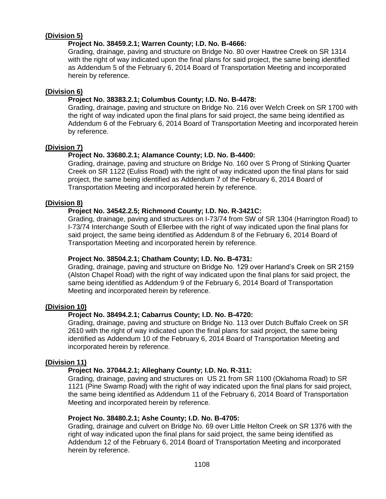## **(Division 5)**

### **Project No. 38459.2.1; Warren County; I.D. No. B-4666:**

Grading, drainage, paving and structure on Bridge No. 80 over Hawtree Creek on SR 1314 with the right of way indicated upon the final plans for said project, the same being identified as Addendum 5 of the February 6, 2014 Board of Transportation Meeting and incorporated herein by reference.

#### **(Division 6)**

#### **Project No. 38383.2.1; Columbus County; I.D. No. B-4478:**

Grading, drainage, paving and structure on Bridge No. 216 over Welch Creek on SR 1700 with the right of way indicated upon the final plans for said project, the same being identified as Addendum 6 of the February 6, 2014 Board of Transportation Meeting and incorporated herein by reference.

#### **(Division 7)**

### **Project No. 33680.2.1; Alamance County; I.D. No. B-4400:**

Grading, drainage, paving and structure on Bridge No. 160 over S Prong of Stinking Quarter Creek on SR 1122 (Euliss Road) with the right of way indicated upon the final plans for said project, the same being identified as Addendum 7 of the February 6, 2014 Board of Transportation Meeting and incorporated herein by reference.

#### **(Division 8)**

#### **Project No. 34542.2.5; Richmond County; I.D. No. R-3421C:**

Grading, drainage, paving and structures on I-73/74 from SW of SR 1304 (Harrington Road) to I-73/74 Interchange South of Ellerbee with the right of way indicated upon the final plans for said project, the same being identified as Addendum 8 of the February 6, 2014 Board of Transportation Meeting and incorporated herein by reference.

#### **Project No. 38504.2.1; Chatham County; I.D. No. B-4731:**

Grading, drainage, paving and structure on Bridge No. 129 over Harland's Creek on SR 2159 (Alston Chapel Road) with the right of way indicated upon the final plans for said project, the same being identified as Addendum 9 of the February 6, 2014 Board of Transportation Meeting and incorporated herein by reference.

#### **(Division 10)**

### **Project No. 38494.2.1; Cabarrus County; I.D. No. B-4720:**

Grading, drainage, paving and structure on Bridge No. 113 over Dutch Buffalo Creek on SR 2610 with the right of way indicated upon the final plans for said project, the same being identified as Addendum 10 of the February 6, 2014 Board of Transportation Meeting and incorporated herein by reference.

#### **(Division 11)**

#### **Project No. 37044.2.1; Alleghany County; I.D. No. R-311:**

Grading, drainage, paving and structures on US 21 from SR 1100 (Oklahoma Road) to SR 1121 (Pine Swamp Road) with the right of way indicated upon the final plans for said project, the same being identified as Addendum 11 of the February 6, 2014 Board of Transportation Meeting and incorporated herein by reference.

#### **Project No. 38480.2.1; Ashe County; I.D. No. B-4705:**

Grading, drainage and culvert on Bridge No. 69 over Little Helton Creek on SR 1376 with the right of way indicated upon the final plans for said project, the same being identified as Addendum 12 of the February 6, 2014 Board of Transportation Meeting and incorporated herein by reference.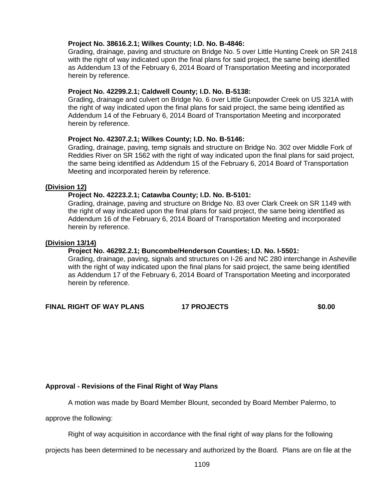#### **Project No. 38616.2.1; Wilkes County; I.D. No. B-4846:**

Grading, drainage, paving and structure on Bridge No. 5 over Little Hunting Creek on SR 2418 with the right of way indicated upon the final plans for said project, the same being identified as Addendum 13 of the February 6, 2014 Board of Transportation Meeting and incorporated herein by reference.

#### **Project No. 42299.2.1; Caldwell County; I.D. No. B-5138:**

Grading, drainage and culvert on Bridge No. 6 over Little Gunpowder Creek on US 321A with the right of way indicated upon the final plans for said project, the same being identified as Addendum 14 of the February 6, 2014 Board of Transportation Meeting and incorporated herein by reference.

#### **Project No. 42307.2.1; Wilkes County; I.D. No. B-5146:**

Grading, drainage, paving, temp signals and structure on Bridge No. 302 over Middle Fork of Reddies River on SR 1562 with the right of way indicated upon the final plans for said project, the same being identified as Addendum 15 of the February 6, 2014 Board of Transportation Meeting and incorporated herein by reference.

#### **(Division 12)**

#### **Project No. 42223.2.1; Catawba County; I.D. No. B-5101:**

Grading, drainage, paving and structure on Bridge No. 83 over Clark Creek on SR 1149 with the right of way indicated upon the final plans for said project, the same being identified as Addendum 16 of the February 6, 2014 Board of Transportation Meeting and incorporated herein by reference.

#### **(Division 13/14)**

#### **Project No. 46292.2.1; Buncombe/Henderson Counties; I.D. No. I-5501:**

Grading, drainage, paving, signals and structures on I-26 and NC 280 interchange in Asheville with the right of way indicated upon the final plans for said project, the same being identified as Addendum 17 of the February 6, 2014 Board of Transportation Meeting and incorporated herein by reference.

**FINAL RIGHT OF WAY PLANS 17 PROJECTS \$0.00**

#### **Approval - Revisions of the Final Right of Way Plans**

A motion was made by Board Member Blount, seconded by Board Member Palermo, to

approve the following:

Right of way acquisition in accordance with the final right of way plans for the following

projects has been determined to be necessary and authorized by the Board. Plans are on file at the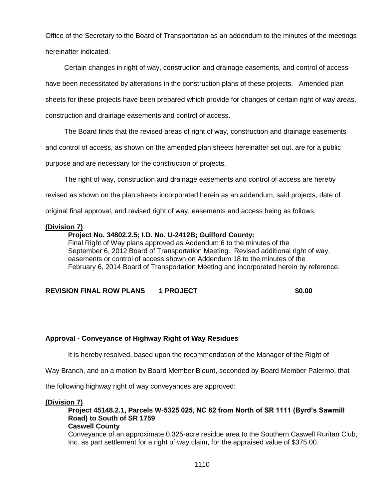Office of the Secretary to the Board of Transportation as an addendum to the minutes of the meetings hereinafter indicated.

Certain changes in right of way, construction and drainage easements, and control of access have been necessitated by alterations in the construction plans of these projects. Amended plan sheets for these projects have been prepared which provide for changes of certain right of way areas, construction and drainage easements and control of access.

The Board finds that the revised areas of right of way, construction and drainage easements

and control of access, as shown on the amended plan sheets hereinafter set out, are for a public

purpose and are necessary for the construction of projects.

The right of way, construction and drainage easements and control of access are hereby

revised as shown on the plan sheets incorporated herein as an addendum, said projects, date of

original final approval, and revised right of way, easements and access being as follows:

#### **(Division 7)**

#### **Project No. 34802.2.5; I.D. No. U-2412B; Guilford County:**

Final Right of Way plans approved as Addendum 6 to the minutes of the September 6, 2012 Board of Transportation Meeting. Revised additional right of way, easements or control of access shown on Addendum 18 to the minutes of the February 6, 2014 Board of Transportation Meeting and incorporated herein by reference.

### **REVISION FINAL ROW PLANS 1 PROJECT \$0.00**

#### **Approval - Conveyance of Highway Right of Way Residues**

It is hereby resolved, based upon the recommendation of the Manager of the Right of

Way Branch, and on a motion by Board Member Blount, seconded by Board Member Palermo, that

the following highway right of way conveyances are approved:

#### **(Division 7)**

**Project 45148.2.1, Parcels W-5325 025, NC 62 from North of SR 1111 (Byrd's Sawmill Road) to South of SR 1759 Caswell County**

Conveyance of an approximate 0.325-acre residue area to the Southern Caswell Ruritan Club, Inc. as part settlement for a right of way claim, for the appraised value of \$375.00.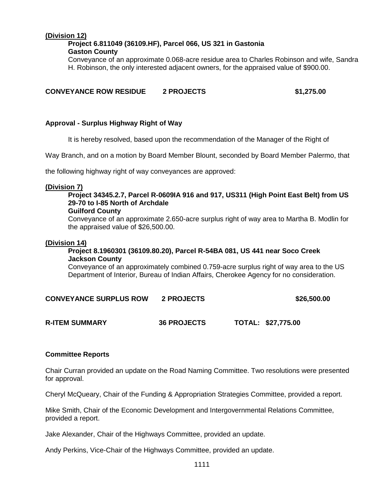## **(Division 12)**

#### **Project 6.811049 (36109.HF), Parcel 066, US 321 in Gastonia Gaston County**

Conveyance of an approximate 0.068-acre residue area to Charles Robinson and wife, Sandra H. Robinson, the only interested adjacent owners, for the appraised value of \$900.00.

### **CONVEYANCE ROW RESIDUE 2 PROJECTS \$1,275.00**

#### **Approval - Surplus Highway Right of Way**

It is hereby resolved, based upon the recommendation of the Manager of the Right of

Way Branch, and on a motion by Board Member Blount, seconded by Board Member Palermo, that

the following highway right of way conveyances are approved:

#### **(Division 7)**

## **Project 34345.2.7, Parcel R-0609IA 916 and 917, US311 (High Point East Belt) from US 29-70 to I-85 North of Archdale**

#### **Guilford County**

Conveyance of an approximate 2.650-acre surplus right of way area to Martha B. Modlin for the appraised value of \$26,500.00.

#### **(Division 14)**

#### **Project 8.1960301 (36109.80.20), Parcel R-54BA 081, US 441 near Soco Creek Jackson County**

Conveyance of an approximately combined 0.759-acre surplus right of way area to the US Department of Interior, Bureau of Indian Affairs, Cherokee Agency for no consideration.

### **CONVEYANCE SURPLUS ROW 2 PROJECTS \$26,500.00**

**R-ITEM SUMMARY 36 PROJECTS TOTAL: \$27,775.00**

#### **Committee Reports**

Chair Curran provided an update on the Road Naming Committee. Two resolutions were presented for approval.

Cheryl McQueary, Chair of the Funding & Appropriation Strategies Committee, provided a report.

Mike Smith, Chair of the Economic Development and Intergovernmental Relations Committee, provided a report.

Jake Alexander, Chair of the Highways Committee, provided an update.

Andy Perkins, Vice-Chair of the Highways Committee, provided an update.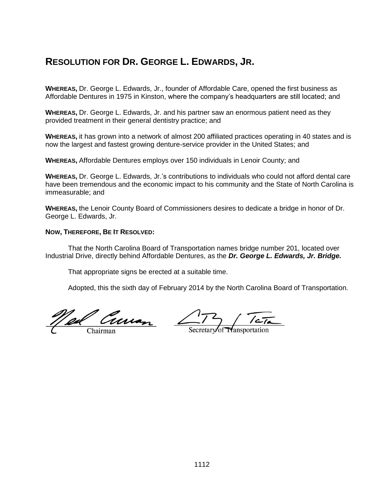# **RESOLUTION FOR DR. GEORGE L. EDWARDS, JR.**

**WHEREAS,** Dr. George L. Edwards, Jr., founder of Affordable Care, opened the first business as Affordable Dentures in 1975 in Kinston, where the company's headquarters are still located; and

**WHEREAS,** Dr. George L. Edwards, Jr. and his partner saw an enormous patient need as they provided treatment in their general dentistry practice; and

**WHEREAS,** it has grown into a network of almost 200 affiliated practices operating in 40 states and is now the largest and fastest growing denture-service provider in the United States; and

**WHEREAS,** Affordable Dentures employs over 150 individuals in Lenoir County; and

**WHEREAS,** Dr. George L. Edwards, Jr.'s contributions to individuals who could not afford dental care have been tremendous and the economic impact to his community and the State of North Carolina is immeasurable; and

**WHEREAS,** the Lenoir County Board of Commissioners desires to dedicate a bridge in honor of Dr. George L. Edwards, Jr.

#### **NOW, THEREFORE, BE IT RESOLVED:**

That the North Carolina Board of Transportation names bridge number 201, located over Industrial Drive, directly behind Affordable Dentures, as the *Dr. George L. Edwards, Jr. Bridge.*

That appropriate signs be erected at a suitable time.

Adopted, this the sixth day of February 2014 by the North Carolina Board of Transportation.

<u>Ned Curran</u>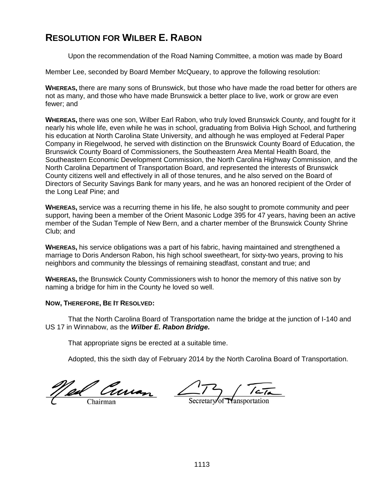# **RESOLUTION FOR WILBER E. RABON**

Upon the recommendation of the Road Naming Committee, a motion was made by Board

Member Lee, seconded by Board Member McQueary, to approve the following resolution:

**WHEREAS,** there are many sons of Brunswick, but those who have made the road better for others are not as many, and those who have made Brunswick a better place to live, work or grow are even fewer; and

**WHEREAS,** there was one son, Wilber Earl Rabon, who truly loved Brunswick County, and fought for it nearly his whole life, even while he was in school, graduating from Bolivia High School, and furthering his education at North Carolina State University, and although he was employed at Federal Paper Company in Riegelwood, he served with distinction on the Brunswick County Board of Education, the Brunswick County Board of Commissioners, the Southeastern Area Mental Health Board, the Southeastern Economic Development Commission, the North Carolina Highway Commission, and the North Carolina Department of Transportation Board, and represented the interests of Brunswick County citizens well and effectively in all of those tenures, and he also served on the Board of Directors of Security Savings Bank for many years, and he was an honored recipient of the Order of the Long Leaf Pine; and

**WHEREAS,** service was a recurring theme in his life, he also sought to promote community and peer support, having been a member of the Orient Masonic Lodge 395 for 47 years, having been an active member of the Sudan Temple of New Bern, and a charter member of the Brunswick County Shrine Club; and

**WHEREAS,** his service obligations was a part of his fabric, having maintained and strengthened a marriage to Doris Anderson Rabon, his high school sweetheart, for sixty-two years, proving to his neighbors and community the blessings of remaining steadfast, constant and true; and

**WHEREAS,** the Brunswick County Commissioners wish to honor the memory of this native son by naming a bridge for him in the County he loved so well.

### **NOW, THEREFORE, BE IT RESOLVED:**

That the North Carolina Board of Transportation name the bridge at the junction of I-140 and US 17 in Winnabow, as the *Wilber E. Rabon Bridge.*

That appropriate signs be erected at a suitable time.

Adopted, this the sixth day of February 2014 by the North Carolina Board of Transportation.

<u>Od Curran</u>